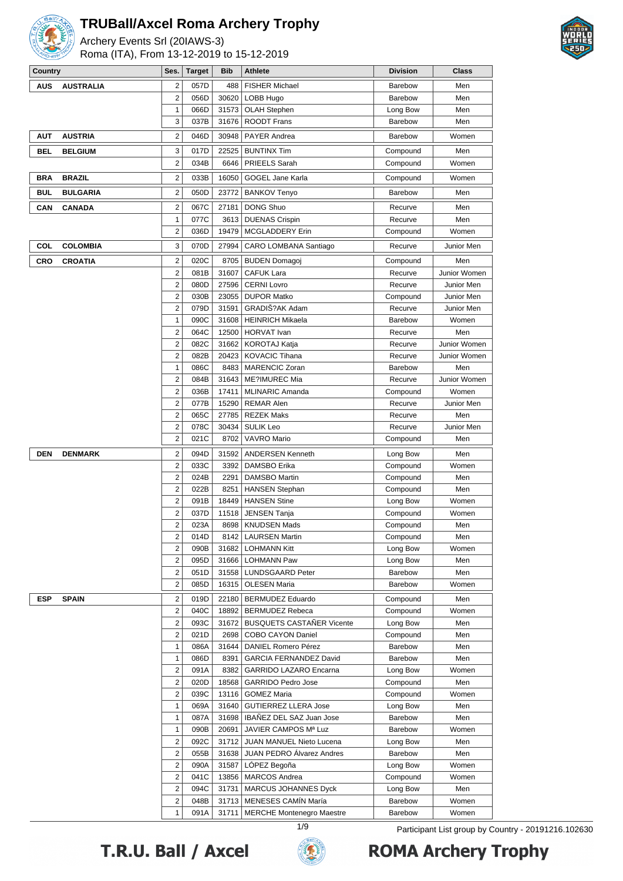

Archery Events Srl (20IAWS-3) Roma (ITA), From 13-12-2019 to 15-12-2019



| Country    |                  | Ses.                | <b>Target</b> | <b>Bib</b>     | Athlete                                               | <b>Division</b>      | <b>Class</b>        |
|------------|------------------|---------------------|---------------|----------------|-------------------------------------------------------|----------------------|---------------------|
| <b>AUS</b> | <b>AUSTRALIA</b> | 2                   | 057D          | 488            | <b>FISHER Michael</b>                                 | <b>Barebow</b>       | Men                 |
|            |                  | $\overline{2}$      | 056D          | 30620          | LOBB Hugo                                             | <b>Barebow</b>       | Men                 |
|            |                  | 1                   | 066D          | 31573          | <b>OLAH Stephen</b>                                   | Long Bow             | Men                 |
|            |                  | 3                   | 037B          | 31676          | <b>ROODT Frans</b>                                    | <b>Barebow</b>       | Men                 |
| <b>AUT</b> | <b>AUSTRIA</b>   | 2                   | 046D          | 30948          | <b>PAYER Andrea</b>                                   | <b>Barebow</b>       | Women               |
| BEL        | <b>BELGIUM</b>   | 3                   | 017D          | 22525          | <b>BUNTINX Tim</b>                                    | Compound             | Men                 |
|            |                  | $\overline{2}$      | 034B          | 6646           | PRIEELS Sarah                                         | Compound             | Women               |
| <b>BRA</b> | <b>BRAZIL</b>    | $\overline{2}$      | 033B          | 16050          | <b>GOGEL Jane Karla</b>                               | Compound             | Women               |
| <b>BUL</b> | <b>BULGARIA</b>  | 2                   | 050D          | 23772          | <b>BANKOV Tenyo</b>                                   | <b>Barebow</b>       | Men                 |
|            |                  |                     |               |                |                                                       |                      |                     |
| CAN        | <b>CANADA</b>    | $\overline{2}$      | 067C          | 27181          | <b>DONG Shuo</b>                                      | Recurve              | Men                 |
|            |                  | 1<br>$\overline{2}$ | 077C<br>036D  | 3613<br>19479  | <b>DUENAS Crispin</b><br>MCGLADDERY Erin              | Recurve              | Men<br>Women        |
|            |                  |                     |               |                |                                                       | Compound             |                     |
| COL        | <b>COLOMBIA</b>  | 3                   | 070D          | 27994          | CARO LOMBANA Santiago                                 | Recurve              | Junior Men          |
| <b>CRO</b> | <b>CROATIA</b>   | $\overline{2}$      | 020C          | 8705           | <b>BUDEN Domagoj</b>                                  | Compound             | Men                 |
|            |                  | 2                   | 081B          | 31607          | <b>CAFUK Lara</b>                                     | Recurve              | Junior Women        |
|            |                  | 2                   | 080D          | 27596          | <b>CERNI Lovro</b>                                    | Recurve              | Junior Men          |
|            |                  | 2                   | 030B          | 23055          | <b>DUPOR Matko</b>                                    | Compound             | Junior Men          |
|            |                  | $\overline{2}$      | 079D          | 31591          | GRADIŠ?AK Adam                                        | Recurve              | Junior Men          |
|            |                  | 1                   | 090C          | 31608          | <b>HEINRICH Mikaela</b>                               | Barebow              | Women               |
|            |                  | 2                   | 064C          | 12500          | <b>HORVAT</b> Ivan                                    | Recurve              | Men                 |
|            |                  | $\overline{2}$      | 082C          | 31662          | <b>KOROTAJ Katja</b>                                  | Recurve              | Junior Women        |
|            |                  | 2                   | 082B          | 20423          | <b>KOVACIC Tihana</b>                                 | Recurve              | Junior Women        |
|            |                  | 1                   | 086C          | 8483           | <b>MARENCIC Zoran</b>                                 | <b>Barebow</b>       | Men                 |
|            |                  | 2                   | 084B          | 31643          | <b>ME?IMUREC Mia</b>                                  | Recurve              | Junior Women        |
|            |                  | 2<br>2              | 036B<br>077B  | 17411<br>15290 | <b>MLINARIC Amanda</b><br><b>REMAR Alen</b>           | Compound<br>Recurve  | Women<br>Junior Men |
|            |                  | $\overline{2}$      | 065C          | 27785          | <b>REZEK Maks</b>                                     | Recurve              | Men                 |
|            |                  | $\overline{2}$      | 078C          | 30434          | <b>SULIK Leo</b>                                      | Recurve              | Junior Men          |
|            |                  | $\overline{2}$      | 021C          | 8702           | VAVRO Mario                                           | Compound             | Men                 |
| <b>DEN</b> |                  | $\overline{2}$      | 094D          | 31592          |                                                       |                      | Men                 |
|            | DENMARK          | 2                   | 033C          | 3392           | <b>ANDERSEN Kenneth</b><br>DAMSBO Erika               | Long Bow<br>Compound | Women               |
|            |                  | $\overline{2}$      | 024B          | 2291           | <b>DAMSBO Martin</b>                                  | Compound             | Men                 |
|            |                  | 2                   | 022B          | 8251           | <b>HANSEN Stephan</b>                                 | Compound             | Men                 |
|            |                  | 2                   | 091B          | 18449          | <b>HANSEN Stine</b>                                   | Long Bow             | Women               |
|            |                  | 2                   | 037D          | 11518          | <b>JENSEN Tanja</b>                                   | Compound             | Women               |
|            |                  | 2                   | 023A          | 8698           | <b>KNUDSEN Mads</b>                                   | Compound             | Men                 |
|            |                  | 2                   | 014D          |                | 8142   LAURSEN Martin                                 | Compound             | Men                 |
|            |                  | $\overline{c}$      | 090B          | 31682          | <b>LOHMANN Kitt</b>                                   | Long Bow             | Women               |
|            |                  | 2                   | 095D          |                | 31666   LOHMANN Paw                                   | Long Bow             | Men                 |
|            |                  | 2                   | 051D          |                | 31558   LUNDSGAARD Peter                              | Barebow              | Men                 |
|            |                  | $\overline{c}$      | 085D          | 16315          | <b>OLESEN Maria</b>                                   | Barebow              | Women               |
| <b>ESP</b> | SPAIN            | 2                   | 019D          | 22180          | <b>BERMUDEZ Eduardo</b>                               | Compound             | Men                 |
|            |                  | $\overline{c}$      | 040C          | 18892          | <b>BERMUDEZ Rebeca</b>                                | Compound             | Women               |
|            |                  | 2                   | 093C          | 31672          | <b>BUSQUETS CASTAÑER Vicente</b>                      | Long Bow             | Men                 |
|            |                  | 2                   | 021D          | 2698           | COBO CAYON Daniel                                     | Compound             | Men                 |
|            |                  | $\mathbf{1}$        | 086A          | 31644          | DANIEL Romero Pérez                                   | Barebow              | Men                 |
|            |                  | 1                   | 086D          | 8391           | GARCIA FERNANDEZ David                                | Barebow              | Men                 |
|            |                  | 2                   | 091A          | 8382           | GARRIDO LAZARO Encarna                                | Long Bow             | Women               |
|            |                  | 2                   | 020D          | 18568          | <b>GARRIDO Pedro Jose</b>                             | Compound             | Men                 |
|            |                  | $\overline{c}$      | 039C          | 13116          | <b>GOMEZ Maria</b>                                    | Compound             | Women               |
|            |                  | 1                   | 069A          | 31640          | <b>GUTIERREZ LLERA Jose</b>                           | Long Bow             | Men                 |
|            |                  | $\mathbf{1}$        | 087A          | 31698          | IBANEZ DEL SAZ Juan Jose                              | Barebow              | Men                 |
|            |                  | 1                   | 090B          | 20691          | JAVIER CAMPOS Mª Luz                                  | Barebow              | Women               |
|            |                  | 2<br>2              | 092C          | 31712          | JUAN MANUEL Nieto Lucena<br>JUAN PEDRO Álvarez Andres | Long Bow             | Men                 |
|            |                  | 2                   | 055B<br>090A  | 31638<br>31587 | LOPEZ Begoña                                          | Barebow              | Men<br>Women        |
|            |                  | 2                   | 041C          |                | 13856   MARCOS Andrea                                 | Long Bow<br>Compound | Women               |
|            |                  | 2                   | 094C          | 31731          | MARCUS JOHANNES Dyck                                  | Long Bow             | Men                 |
|            |                  | 2                   | 048B          |                | 31713   MENESES CAMIN María                           | Barebow              | Women               |
|            |                  | 1                   | 091A          | 31711          | <b>MERCHE Montenegro Maestre</b>                      | Barebow              | Women               |

T.R.U. Ball / Axcel



1/9 **Participant List group by Country - 20191216.102630**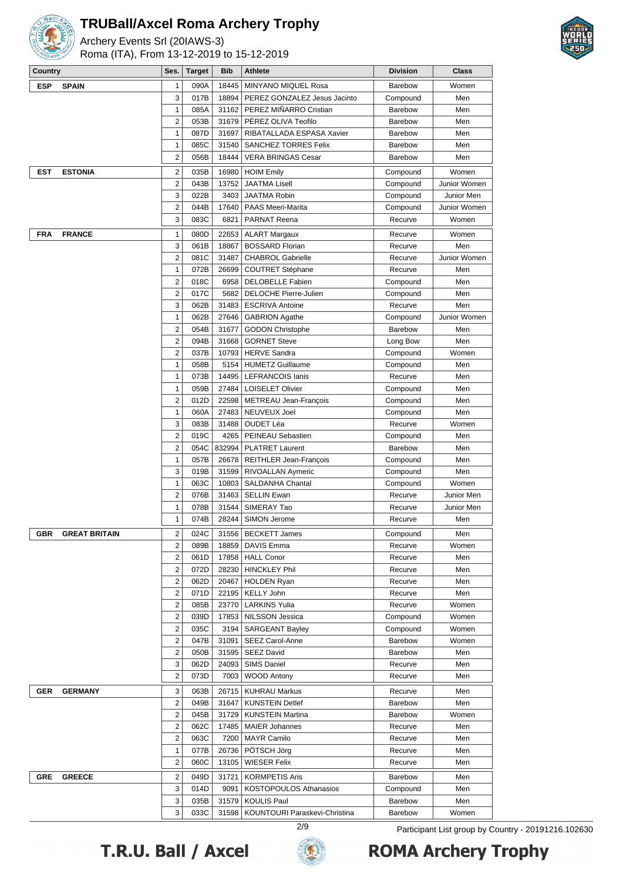

Archery Events Srl (20IAWS-3) Roma (ITA), From 13-12-2019 to 15-12-2019



| Country                            | Ses.                    | <b>Target</b> | <b>Bib</b> | Athlete                                            | <b>Division</b> | <b>Class</b> |
|------------------------------------|-------------------------|---------------|------------|----------------------------------------------------|-----------------|--------------|
| <b>ESP</b><br><b>SPAIN</b>         | 1                       | 090A          | 18445      | <b>MINYANO MIQUEL Rosa</b>                         | Barebow         | Women        |
|                                    | 3                       | 017B          | 18894      | PEREZ GONZALEZ Jesus Jacinto                       | Compound        | Men          |
|                                    | 1                       | 085A          | 31162      | PEREZ MIÑARRO Cristian                             | <b>Barebow</b>  | Men          |
|                                    | $\overline{2}$          | 053B          | 31679      | PÉREZ OLIVA Teofilo                                | <b>Barebow</b>  | Men          |
|                                    | 1                       | 087D          | 31697      | RIBATALLADA ESPASA Xavier                          | <b>Barebow</b>  | Men          |
|                                    | $\mathbf{1}$            | 085C          | 31540      | SANCHEZ TORRES Felix                               | <b>Barebow</b>  | Men          |
|                                    |                         |               |            |                                                    |                 |              |
|                                    | $\overline{2}$          | 056B          | 18444      | <b>VERA BRINGAS Cesar</b>                          | <b>Barebow</b>  | Men          |
| <b>ESTONIA</b><br>EST              | $\overline{2}$          | 035B          | 16980      | <b>HOIM Emily</b>                                  | Compound        | Women        |
|                                    | $\overline{2}$          | 043B          | 13752      | <b>JAATMA Lisell</b>                               | Compound        | Junior Women |
|                                    | 3                       | 022B          | 3403       | <b>JAATMA Robin</b>                                | Compound        | Junior Men   |
|                                    | $\mathbf 2$             | 044B          | 17640      | <b>PAAS Meeri-Marita</b>                           | Compound        | Junior Women |
|                                    | 3                       | 083C          | 6821       | <b>PARNAT Reena</b>                                | Recurve         | Women        |
| FRA<br><b>FRANCE</b>               | $\mathbf{1}$            | 080D          | 22653      | <b>ALART Margaux</b>                               | Recurve         | Women        |
|                                    | 3                       | 061B          | 18867      | <b>BOSSARD Florian</b>                             | Recurve         | Men          |
|                                    | $\overline{2}$          | 081C          | 31487      | <b>CHABROL Gabrielle</b>                           | Recurve         | Junior Women |
|                                    | 1                       | 072B          |            |                                                    | Recurve         | Men          |
|                                    |                         |               | 26699      | <b>COUTRET Stéphane</b><br><b>DELOBELLE Fabien</b> |                 | Men          |
|                                    | $\overline{2}$          | 018C          | 6958       |                                                    | Compound        |              |
|                                    | $\overline{2}$          | 017C          |            | 5682   DELOCHE Pierre-Julien                       | Compound        | Men          |
|                                    | 3                       | 062B          |            | 31483   ESCRIVA Antoine                            | Recurve         | Men          |
|                                    | $\mathbf{1}$            | 062B          | 27646      | <b>GABRION Agathe</b>                              | Compound        | Junior Women |
|                                    | $\overline{2}$          | 054B          | 31677      | <b>GODON Christophe</b>                            | <b>Barebow</b>  | Men          |
|                                    | 2                       | 094B          | 31668      | <b>GORNET Steve</b>                                | Long Bow        | Men          |
|                                    | 2                       | 037B          | 10793      | <b>HERVE Sandra</b>                                | Compound        | Women        |
|                                    | $\mathbf{1}$            | 058B          | 5154       | <b>HUMETZ Guillaume</b>                            | Compound        | Men          |
|                                    | $\mathbf{1}$            | 073B          |            | 14495   LEFRANCOIS Ianis                           | Recurve         | Men          |
|                                    | $\mathbf{1}$            | 059B          |            | 27484   LOISELET Olivier                           | Compound        | Men          |
|                                    | $\overline{2}$          | 012D          |            | 22598   METREAU Jean-François                      | Compound        | Men          |
|                                    | $\mathbf{1}$            | 060A          | 27483      | <b>NEUVEUX Joel</b>                                | Compound        | Men          |
|                                    | 3                       | 083B          | 31488      | OUDET Léa                                          | Recurve         | Women        |
|                                    | $\overline{2}$          | 019C          | 4265       | PEINEAU Sebastien                                  | Compound        | Men          |
|                                    | $\overline{2}$          | 054C          | 832994     | <b>PLATRET Laurent</b>                             | Barebow         | Men          |
|                                    | 1                       | 057B          | 26678      | <b>REITHLER Jean-François</b>                      | Compound        | Men          |
|                                    | 3                       | 019B          | 31599      | RIVOALLAN Aymeric                                  | Compound        | Men          |
|                                    | $\mathbf{1}$            | 063C          | 10803      | SALDANHA Chantal                                   | Compound        | Women        |
|                                    | $\overline{2}$          | 076B          | 31463      | <b>SELLIN Ewan</b>                                 |                 |              |
|                                    |                         |               |            |                                                    | Recurve         | Junior Men   |
|                                    | $\mathbf{1}$            | 078B          | 31544      | SIMERAY Tao                                        | Recurve         | Junior Men   |
|                                    | 1                       | 074B          |            | 28244   SIMON Jerome                               | Recurve         | Men          |
| <b>GBR</b><br><b>GREAT BRITAIN</b> | $\overline{2}$          | 024C          |            | 31556   BECKETT James                              | Compound        | Men          |
|                                    | 2                       | 089B          |            | 18859   DAVIS Emma                                 | Recurve         | Women        |
|                                    | 2                       | 061D          |            | 17858   HALL Conor                                 | Recurve         | Men          |
|                                    | $\overline{2}$          | 072D          |            | 28230   HINCKLEY Phil                              | Recurve         | Men          |
|                                    | $\overline{\mathbf{c}}$ | 062D          |            | 20467   HOLDEN Ryan                                | Recurve         | Men          |
|                                    | 2                       | 071D          |            | 22195   KELLY John                                 | Recurve         | Men          |
|                                    | 2                       | 085B          |            | 23770   LARKINS Yulia                              | Recurve         | Women        |
|                                    | 2                       | 039D          |            | 17853   NILSSON Jessica                            | Compound        | Women        |
|                                    | 2                       | 035C          |            | 3194   SARGEANT Bayley                             | Compound        | Women        |
|                                    | 2                       | 047B          |            | 31091   SEEZ Carol-Anne                            | Barebow         | Women        |
|                                    | 2                       | 050B          |            | 31595   SEEZ David                                 | Barebow         | Men          |
|                                    | 3                       | 062D          |            | 24093   SIMS Daniel                                | Recurve         | Men          |
|                                    | $\overline{c}$          | 073D          |            | 7003   WOOD Antony                                 | Recurve         | Men          |
|                                    |                         |               |            |                                                    |                 |              |
| <b>GERMANY</b><br>GER              | 3                       | 063B          |            | 26715   KUHRAU Markus                              | Recurve         | Men          |
|                                    | $\overline{c}$          | 049B          |            | 31647   KUNSTEIN Detlef                            | Barebow         | Men          |
|                                    | $\overline{\mathbf{c}}$ | 045B          |            | 31729   KUNSTEIN Martina                           | Barebow         | Women        |
|                                    | $\overline{\mathbf{c}}$ | 062C          |            | 17485   MAIER Johannes                             | Recurve         | Men          |
|                                    | 2                       | 063C          |            | 7200   MAYR Camilo                                 | Recurve         | Men          |
|                                    | $\mathbf{1}$            | 077B          |            | 26736   POTSCH Jörg                                | Recurve         | Men          |
|                                    | $\overline{\mathbf{c}}$ | 060C          | 13105      | <b>WIESER Felix</b>                                | Recurve         | Men          |
| <b>GREECE</b><br>GRE               | 2                       | 049D          |            | 31721   KORMPETIS Aris                             | Barebow         | Men          |
|                                    | 3                       | 014D          |            | 9091   KOSTOPOULOS Athanasios                      | Compound        | Men          |
|                                    | 3                       | 035B          |            | 31579   KOULIS Paul                                | Barebow         | Men          |
|                                    | 3                       | 033C          |            | 31598   KOUNTOURI Paraskevi-Christina              | Barebow         | Women        |
|                                    |                         |               |            |                                                    |                 |              |

T.R.U. Ball / Axcel



2/9 Participant List group by Country - 20191216.102630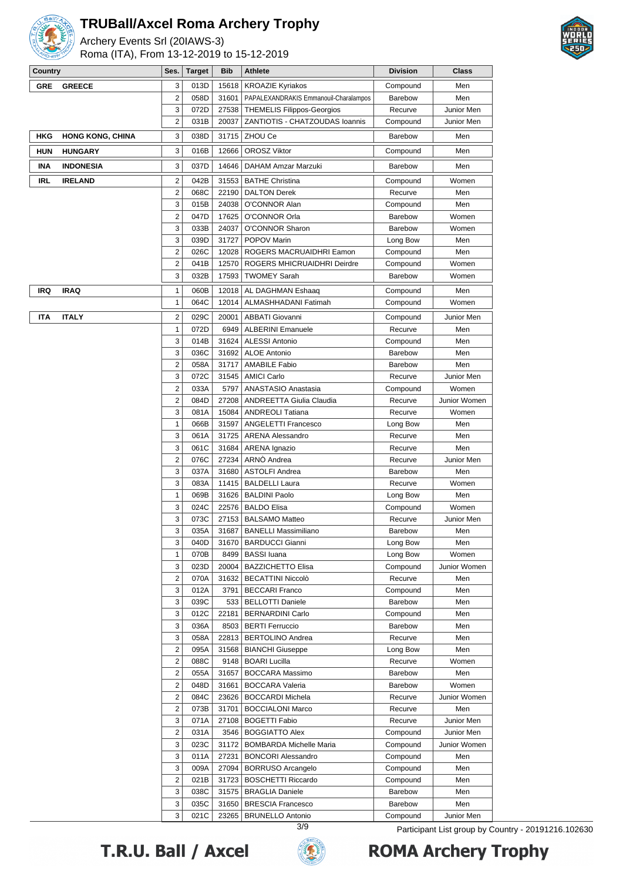

Archery Events Srl (20IAWS-3) Roma (ITA), From 13-12-2019 to 15-12-2019



| Country    |                         | Ses.                    | Target       | Bib           | Athlete                                         | <b>Division</b>           | Class        |
|------------|-------------------------|-------------------------|--------------|---------------|-------------------------------------------------|---------------------------|--------------|
| <b>GRE</b> | <b>GREECE</b>           | 3                       | 013D         | 15618         | <b>KROAZIE Kyriakos</b>                         | Compound                  | Men          |
|            |                         | 2                       | 058D         | 31601         | PAPALEXANDRAKIS Emmanouil-Charalampos           | <b>Barebow</b>            | Men          |
|            |                         | 3                       | 072D         | 27538         | <b>THEMELIS Filippos-Georgios</b>               | Recurve                   | Junior Men   |
|            |                         | 2                       | 031B         | 20037         | ZANTIOTIS - CHATZOUDAS Ioannis                  | Compound                  | Junior Men   |
| HKG        | <b>HONG KONG, CHINA</b> | 3                       | 038D         | 31715         | ZHOU Ce                                         | Barebow                   | Men          |
| <b>HUN</b> | <b>HUNGARY</b>          | 3                       | 016B         | 12666         | <b>OROSZ Viktor</b>                             | Compound                  | Men          |
| INA        | <b>INDONESIA</b>        | 3                       | 037D         | 14646         | <b>DAHAM Amzar Marzuki</b>                      | Barebow                   | Men          |
| <b>IRL</b> | <b>IRELAND</b>          | $\overline{2}$          | 042B         | 31553         | <b>BATHE Christina</b>                          | Compound                  | Women        |
|            |                         | 2                       | 068C         | 22190         | <b>DALTON Derek</b>                             | Recurve                   | Men          |
|            |                         | 3                       | 015B         | 24038         | O'CONNOR Alan                                   | Compound                  | Men          |
|            |                         | 2                       | 047D         | 17625         | O'CONNOR Orla                                   | <b>Barebow</b>            | Women        |
|            |                         | 3                       | 033B         | 24037         | O'CONNOR Sharon                                 | Barebow                   | Women        |
|            |                         | 3                       | 039D         | 31727         | POPOV Marin                                     | Long Bow                  | Men          |
|            |                         | $\overline{2}$          | 026C         | 12028         | ROGERS MACRUAIDHRI Eamon                        | Compound                  | Men          |
|            |                         | 2                       | 041B         | 12570         | ROGERS MHICRUAIDHRI Deirdre                     | Compound                  | Women        |
|            |                         | 3                       | 032B         | 17593         | <b>TWOMEY Sarah</b>                             | <b>Barebow</b>            | Women        |
| IRQ        | <b>IRAQ</b>             | 1                       | 060B         | 12018         | AL DAGHMAN Eshaaq                               | Compound                  | Men          |
|            |                         | 1                       | 064C         | 12014         | ALMASHHADANI Fatimah                            | Compound                  | Women        |
| ITA        | <b>ITALY</b>            | 2                       | 029C         | 20001         | <b>ABBATI Giovanni</b>                          | Compound                  | Junior Men   |
|            |                         | 1                       | 072D         | 6949          | <b>ALBERINI Emanuele</b>                        | Recurve                   | Men          |
|            |                         | 3                       | 014B         | 31624         | <b>ALESSI Antonio</b>                           | Compound                  | Men          |
|            |                         | 3                       | 036C         | 31692         | <b>ALOE Antonio</b>                             | <b>Barebow</b>            | Men          |
|            |                         | $\overline{2}$          | 058A         | 31717         | <b>AMABILE Fabio</b>                            | <b>Barebow</b>            | Men          |
|            |                         | 3                       | 072C         | 31545         | <b>AMICI Carlo</b>                              | Recurve                   | Junior Men   |
|            |                         | $\overline{2}$          | 033A         | 5797          | ANASTASIO Anastasia                             | Compound                  | Women        |
|            |                         | 2                       | 084D         | 27208         | <b>ANDREETTA Giulia Claudia</b>                 | Recurve                   | Junior Women |
|            |                         | 3                       | 081A         | 15084         | <b>ANDREOLI Tatiana</b>                         | Recurve                   | Women        |
|            |                         | 1                       | 066B         | 31597         | <b>ANGELETTI Francesco</b>                      | Long Bow                  | Men          |
|            |                         | 3                       | 061A         | 31725         | <b>ARENA Alessandro</b>                         | Recurve                   | Men          |
|            |                         | 3                       | 061C         | 31684         | <b>ARENA</b> Ignazio                            | Recurve                   | Men          |
|            |                         | 2                       | 076C         | 27234         | ARNO Andrea                                     | Recurve                   | Junior Men   |
|            |                         | 3                       | 037A         | 31680         | <b>ASTOLFI Andrea</b>                           | Barebow                   | Men          |
|            |                         | 3                       | 083A         | 11415         | <b>BALDELLI Laura</b>                           | Recurve                   | Women        |
|            |                         | $\mathbf{1}$            | 069B         |               | 31626   BALDINI Paolo                           | Long Bow                  | Men          |
|            |                         | 3                       | 024C         | 22576         | <b>BALDO Elisa</b>                              | Compound                  | Women        |
|            |                         | 3                       | 073C         | 27153         | <b>BALSAMO Matteo</b>                           | Recurve                   | Junior Men   |
|            |                         | 3                       | 035A         | 31687         | <b>BANELLI Massimiliano</b>                     | Barebow                   | Men          |
|            |                         | 3                       | 040D         |               | 31670   BARDUCCI Gianni                         | Long Bow                  | Men          |
|            |                         | 1                       | 070B         | 8499          | <b>BASSI</b> luana                              | Long Bow                  | Women        |
|            |                         | 3                       | 023D         | 20004         | <b>BAZZICHETTO Elisa</b>                        | Compound                  | Junior Women |
|            |                         | 2                       | 070A         | 31632         | <b>BECATTINI Niccolò</b>                        | Recurve                   | Men          |
|            |                         | 3                       | 012A         | 3791          | <b>BECCARI Franco</b>                           | Compound                  | Men          |
|            |                         | 3                       | 039C         |               | 533   BELLOTTI Daniele                          | Barebow                   | Men          |
|            |                         | 3                       | 012C         | 22181         | <b>BERNARDINI Carlo</b>                         | Compound                  | Men          |
|            |                         | 3                       | 036A         | 8503          | <b>BERTI Ferruccio</b>                          | Barebow                   | Men          |
|            |                         | 3                       | 058A         | 22813         | <b>BERTOLINO Andrea</b>                         | Recurve                   | Men          |
|            |                         | 2<br>2                  | 095A         | 31568<br>9148 | <b>BIANCHI Giuseppe</b><br><b>BOARI Lucilla</b> | Long Bow                  | Men          |
|            |                         | 2                       | 088C<br>055A | 31657         | <b>BOCCARA Massimo</b>                          | Recurve<br><b>Barebow</b> | Women<br>Men |
|            |                         | 2                       | 048D         | 31661         | <b>BOCCARA Valeria</b>                          | <b>Barebow</b>            | Women        |
|            |                         | $\overline{\mathbf{c}}$ | 084C         | 23626         | <b>BOCCARDI Michela</b>                         | Recurve                   | Junior Women |
|            |                         | $\overline{2}$          | 073B         | 31701         | <b>BOCCIALONI Marco</b>                         | Recurve                   | Men          |
|            |                         | 3                       | 071A         | 27108         | <b>BOGETTI Fabio</b>                            | Recurve                   | Junior Men   |
|            |                         | $\overline{2}$          | 031A         | 3546          | <b>BOGGIATTO Alex</b>                           | Compound                  | Junior Men   |
|            |                         | 3                       | 023C         | 31172         | <b>BOMBARDA Michelle Maria</b>                  | Compound                  | Junior Women |
|            |                         | 3                       | 011A         | 27231         | <b>BONCORI Alessandro</b>                       | Compound                  | Men          |
|            |                         | 3                       | 009A         | 27094         | <b>BORRUSO Arcangelo</b>                        | Compound                  | Men          |
|            |                         | 2                       | 021B         | 31723         | <b>BOSCHETTI Riccardo</b>                       | Compound                  | Men          |
|            |                         | 3                       | 038C         | 31575         | <b>BRAGLIA Daniele</b>                          | Barebow                   | Men          |
|            |                         | 3                       | 035C         | 31650         | <b>BRESCIA Francesco</b>                        | Barebow                   | Men          |
|            |                         | 3                       | 021C         | 23265         | <b>BRUNELLO Antonio</b>                         | Compound                  | Junior Men   |

T.R.U. Ball / Axcel



3/9 Participant List group by Country - 20191216.102630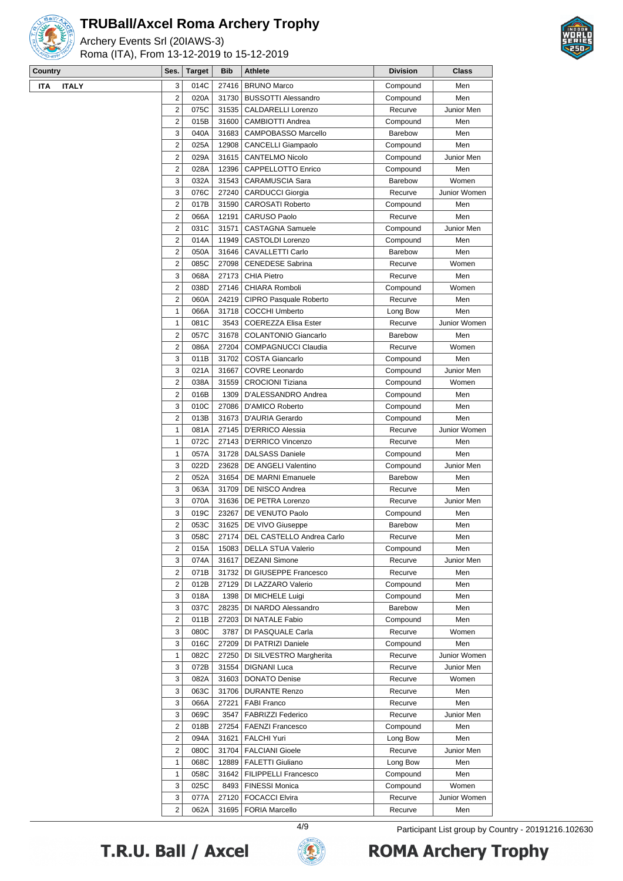

Archery Events Srl (20IAWS-3) Roma (ITA), From 13-12-2019 to 15-12-2019



| Country<br>Ses.<br><b>Target</b><br><b>Bib</b><br>Athlete<br><b>Division</b><br><b>Class</b><br><b>ITALY</b><br>3<br>014C<br><b>BRUNO Marco</b><br><b>ITA</b><br>27416<br>Men<br>Compound<br>$\overline{2}$<br>020A<br><b>BUSSOTTI Alessandro</b><br>Men<br>31730<br>Compound<br>2<br><b>CALDARELLI Lorenzo</b><br>075C<br>31535<br>Recurve<br>$\overline{2}$<br>015B<br><b>CAMBIOTTI Andrea</b><br>31600<br>Compound<br>Men<br>3<br>040A<br>31683<br>CAMPOBASSO Marcello<br>Men<br><b>Barebow</b><br>$\overline{2}$<br>025A<br>Men<br>12908<br><b>CANCELLI Giampaolo</b><br>Compound<br>$\overline{2}$<br>029A<br>31615<br><b>CANTELMO Nicolo</b><br>Compound<br>2<br>028A<br>12396<br><b>CAPPELLOTTO Enrico</b><br>Compound<br>Men<br>3<br>032A<br>31543<br><b>CARAMUSCIA Sara</b><br>Barebow<br>3<br>27240<br>076C<br><b>CARDUCCI Giorgia</b><br>Recurve<br>$\overline{2}$<br>Men<br>017B<br>31590<br><b>CAROSATI Roberto</b><br>Compound<br>$\overline{2}$<br>Men<br>066A<br>12191<br><b>CARUSO Paolo</b><br>Recurve<br>2<br>31571<br>031C<br><b>CASTAGNA Samuele</b><br>Compound<br>$\overline{2}$<br>014A<br>11949<br>CASTOLDI Lorenzo<br>Men<br>Compound<br>$\overline{2}$<br>050A<br>31646<br>CAVALLETTI Carlo<br>Men<br>Barebow<br>$\overline{2}$<br>085C<br>27098<br><b>CENEDESE Sabrina</b><br>Recurve<br>Women<br>3<br>068A<br>27173<br><b>CHIA Pietro</b><br>Men<br>Recurve<br>2<br>038D<br>27146<br>CHIARA Romboli<br>Women<br>Compound<br>2<br>24219<br>060A<br>CIPRO Pasquale Roberto<br>Recurve<br>Men<br>$\mathbf{1}$<br>066A<br>31718<br><b>COCCHI Umberto</b><br>Men<br>Long Bow<br>$\mathbf{1}$<br><b>COEREZZA Elisa Ester</b><br>081C<br>3543<br>Recurve<br>2<br>057C<br>31678<br><b>COLANTONIO Giancarlo</b><br>Barebow<br>Men<br>$\overline{2}$<br>086A<br>27204<br><b>COMPAGNUCCI Claudia</b><br>Women<br>Recurve<br>3<br>011B<br>31702<br><b>COSTA Giancarlo</b><br>Compound<br>Men<br>3<br>021A<br>31667<br><b>COVRE Leonardo</b><br>Compound<br>$\overline{2}$<br>31559<br>038A<br><b>CROCIONI Tiziana</b><br>Women<br>Compound<br>$\overline{2}$<br>016B<br>1309<br>D'ALESSANDRO Andrea<br>Men<br>Compound<br>3<br>010C<br>27086<br>D'AMICO Roberto<br>Compound<br>Men<br>2<br>013B<br>31673<br>D'AURIA Gerardo<br>Compound<br>Men<br>$\mathbf{1}$<br>081A<br>27145<br><b>D'ERRICO Alessia</b><br>Recurve<br>1<br>072C<br>27143<br>D'ERRICO Vincenzo<br>Recurve<br>Men<br>1<br>057A<br>31728<br><b>DALSASS Daniele</b><br>Men<br>Compound<br>3<br>022D<br>23628<br>DE ANGELI Valentino<br>Compound<br>$\overline{2}$<br>052A<br>31654<br>DE MARNI Emanuele<br>Men<br><b>Barebow</b><br>3<br>31709<br>063A<br>DE NISCO Andrea<br>Men<br>Recurve<br>3<br>070A<br>31636<br>DE PETRA Lorenzo<br>Recurve<br>3<br>019C<br>23267<br>DE VENUTO Paolo<br>Compound<br>Men<br>$\overline{2}$<br>053C<br>31625<br>DE VIVO Giuseppe<br>Men<br>Barebow<br>3<br>27174   DEL CASTELLO Andrea Carlo<br>058C<br>Recurve<br>Men<br>2<br>015A<br>DELLA STUA Valerio<br>15083<br>Compound<br>Men<br>3<br>074A<br>31617<br><b>DEZANI Simone</b><br>Recurve<br>2<br>DI GIUSEPPE Francesco<br>071B<br>31732<br>Recurve<br>Men<br>2<br>012B<br>27129<br>DI LAZZARO Valerio<br>Men<br>Compound<br>3<br>018A<br>1398<br>DI MICHELE Luigi<br>Compound<br>Men<br>3<br>037C<br>28235<br>DI NARDO Alessandro<br>Barebow<br>Men<br>2<br>011B<br>27203<br>DI NATALE Fabio<br>Compound<br>Men<br>3<br>080C<br>3787<br>DI PASQUALE Carla<br>Recurve<br>3<br>016C<br>27209<br>DI PATRIZI Daniele<br>Compound<br>Men<br>1<br>082C<br>27250<br>DI SILVESTRO Margherita<br>Recurve<br>3<br>072B<br>31554<br><b>DIGNANI Luca</b><br>Recurve<br>3<br>082A<br><b>DONATO Denise</b><br>31603<br>Recurve<br>3<br>063C<br>31706<br><b>DURANTE Renzo</b><br>Recurve<br>Men<br>3<br>066A<br>27221<br><b>FABI Franco</b><br>Men<br>Recurve<br>3<br>069C<br>3547<br><b>FABRIZZI Federico</b><br>Recurve<br>27254<br>2<br>018B<br><b>FAENZI Francesco</b><br>Compound<br>Men<br><b>FALCHI Yuri</b><br>2<br>094A<br>31621<br>Long Bow<br>Men<br>2<br>080C<br>31704<br><b>FALCIANI Gioele</b><br>Recurve<br>$\mathbf{1}$<br>12889<br>068C<br><b>FALETTI Giuliano</b><br>Long Bow<br>Men<br>1<br>058C<br>31642<br><b>FILIPPELLI Francesco</b><br>Men<br>Compound<br>3<br>025C<br><b>FINESSI Monica</b><br>Compound<br>8493<br>Women | $\sim$ | $1.01104$ , $1.171$ , $1.10111$ , $10.12$ , $12.10$ , $10.10$ |  |  |              |
|-------------------------------------------------------------------------------------------------------------------------------------------------------------------------------------------------------------------------------------------------------------------------------------------------------------------------------------------------------------------------------------------------------------------------------------------------------------------------------------------------------------------------------------------------------------------------------------------------------------------------------------------------------------------------------------------------------------------------------------------------------------------------------------------------------------------------------------------------------------------------------------------------------------------------------------------------------------------------------------------------------------------------------------------------------------------------------------------------------------------------------------------------------------------------------------------------------------------------------------------------------------------------------------------------------------------------------------------------------------------------------------------------------------------------------------------------------------------------------------------------------------------------------------------------------------------------------------------------------------------------------------------------------------------------------------------------------------------------------------------------------------------------------------------------------------------------------------------------------------------------------------------------------------------------------------------------------------------------------------------------------------------------------------------------------------------------------------------------------------------------------------------------------------------------------------------------------------------------------------------------------------------------------------------------------------------------------------------------------------------------------------------------------------------------------------------------------------------------------------------------------------------------------------------------------------------------------------------------------------------------------------------------------------------------------------------------------------------------------------------------------------------------------------------------------------------------------------------------------------------------------------------------------------------------------------------------------------------------------------------------------------------------------------------------------------------------------------------------------------------------------------------------------------------------------------------------------------------------------------------------------------------------------------------------------------------------------------------------------------------------------------------------------------------------------------------------------------------------------------------------------------------------------------------------------------------------------------------------------------------------------------------------------------------------------------------------------------------------------------------------------------------------------------------------------------------------------------------------------------------------------------------------------------------------------------------------------------------------------------------------------------------------------------------------------------------------------------------------------------------------------------------------------------------------------------------------------------------------------------------------------------------------------------------------------------|--------|---------------------------------------------------------------|--|--|--------------|
|                                                                                                                                                                                                                                                                                                                                                                                                                                                                                                                                                                                                                                                                                                                                                                                                                                                                                                                                                                                                                                                                                                                                                                                                                                                                                                                                                                                                                                                                                                                                                                                                                                                                                                                                                                                                                                                                                                                                                                                                                                                                                                                                                                                                                                                                                                                                                                                                                                                                                                                                                                                                                                                                                                                                                                                                                                                                                                                                                                                                                                                                                                                                                                                                                                                                                                                                                                                                                                                                                                                                                                                                                                                                                                                                                                                                                                                                                                                                                                                                                                                                                                                                                                                                                                                                                                             |        |                                                               |  |  |              |
|                                                                                                                                                                                                                                                                                                                                                                                                                                                                                                                                                                                                                                                                                                                                                                                                                                                                                                                                                                                                                                                                                                                                                                                                                                                                                                                                                                                                                                                                                                                                                                                                                                                                                                                                                                                                                                                                                                                                                                                                                                                                                                                                                                                                                                                                                                                                                                                                                                                                                                                                                                                                                                                                                                                                                                                                                                                                                                                                                                                                                                                                                                                                                                                                                                                                                                                                                                                                                                                                                                                                                                                                                                                                                                                                                                                                                                                                                                                                                                                                                                                                                                                                                                                                                                                                                                             |        |                                                               |  |  |              |
|                                                                                                                                                                                                                                                                                                                                                                                                                                                                                                                                                                                                                                                                                                                                                                                                                                                                                                                                                                                                                                                                                                                                                                                                                                                                                                                                                                                                                                                                                                                                                                                                                                                                                                                                                                                                                                                                                                                                                                                                                                                                                                                                                                                                                                                                                                                                                                                                                                                                                                                                                                                                                                                                                                                                                                                                                                                                                                                                                                                                                                                                                                                                                                                                                                                                                                                                                                                                                                                                                                                                                                                                                                                                                                                                                                                                                                                                                                                                                                                                                                                                                                                                                                                                                                                                                                             |        |                                                               |  |  |              |
|                                                                                                                                                                                                                                                                                                                                                                                                                                                                                                                                                                                                                                                                                                                                                                                                                                                                                                                                                                                                                                                                                                                                                                                                                                                                                                                                                                                                                                                                                                                                                                                                                                                                                                                                                                                                                                                                                                                                                                                                                                                                                                                                                                                                                                                                                                                                                                                                                                                                                                                                                                                                                                                                                                                                                                                                                                                                                                                                                                                                                                                                                                                                                                                                                                                                                                                                                                                                                                                                                                                                                                                                                                                                                                                                                                                                                                                                                                                                                                                                                                                                                                                                                                                                                                                                                                             |        |                                                               |  |  | Junior Men   |
|                                                                                                                                                                                                                                                                                                                                                                                                                                                                                                                                                                                                                                                                                                                                                                                                                                                                                                                                                                                                                                                                                                                                                                                                                                                                                                                                                                                                                                                                                                                                                                                                                                                                                                                                                                                                                                                                                                                                                                                                                                                                                                                                                                                                                                                                                                                                                                                                                                                                                                                                                                                                                                                                                                                                                                                                                                                                                                                                                                                                                                                                                                                                                                                                                                                                                                                                                                                                                                                                                                                                                                                                                                                                                                                                                                                                                                                                                                                                                                                                                                                                                                                                                                                                                                                                                                             |        |                                                               |  |  |              |
|                                                                                                                                                                                                                                                                                                                                                                                                                                                                                                                                                                                                                                                                                                                                                                                                                                                                                                                                                                                                                                                                                                                                                                                                                                                                                                                                                                                                                                                                                                                                                                                                                                                                                                                                                                                                                                                                                                                                                                                                                                                                                                                                                                                                                                                                                                                                                                                                                                                                                                                                                                                                                                                                                                                                                                                                                                                                                                                                                                                                                                                                                                                                                                                                                                                                                                                                                                                                                                                                                                                                                                                                                                                                                                                                                                                                                                                                                                                                                                                                                                                                                                                                                                                                                                                                                                             |        |                                                               |  |  |              |
|                                                                                                                                                                                                                                                                                                                                                                                                                                                                                                                                                                                                                                                                                                                                                                                                                                                                                                                                                                                                                                                                                                                                                                                                                                                                                                                                                                                                                                                                                                                                                                                                                                                                                                                                                                                                                                                                                                                                                                                                                                                                                                                                                                                                                                                                                                                                                                                                                                                                                                                                                                                                                                                                                                                                                                                                                                                                                                                                                                                                                                                                                                                                                                                                                                                                                                                                                                                                                                                                                                                                                                                                                                                                                                                                                                                                                                                                                                                                                                                                                                                                                                                                                                                                                                                                                                             |        |                                                               |  |  |              |
|                                                                                                                                                                                                                                                                                                                                                                                                                                                                                                                                                                                                                                                                                                                                                                                                                                                                                                                                                                                                                                                                                                                                                                                                                                                                                                                                                                                                                                                                                                                                                                                                                                                                                                                                                                                                                                                                                                                                                                                                                                                                                                                                                                                                                                                                                                                                                                                                                                                                                                                                                                                                                                                                                                                                                                                                                                                                                                                                                                                                                                                                                                                                                                                                                                                                                                                                                                                                                                                                                                                                                                                                                                                                                                                                                                                                                                                                                                                                                                                                                                                                                                                                                                                                                                                                                                             |        |                                                               |  |  | Junior Men   |
|                                                                                                                                                                                                                                                                                                                                                                                                                                                                                                                                                                                                                                                                                                                                                                                                                                                                                                                                                                                                                                                                                                                                                                                                                                                                                                                                                                                                                                                                                                                                                                                                                                                                                                                                                                                                                                                                                                                                                                                                                                                                                                                                                                                                                                                                                                                                                                                                                                                                                                                                                                                                                                                                                                                                                                                                                                                                                                                                                                                                                                                                                                                                                                                                                                                                                                                                                                                                                                                                                                                                                                                                                                                                                                                                                                                                                                                                                                                                                                                                                                                                                                                                                                                                                                                                                                             |        |                                                               |  |  |              |
|                                                                                                                                                                                                                                                                                                                                                                                                                                                                                                                                                                                                                                                                                                                                                                                                                                                                                                                                                                                                                                                                                                                                                                                                                                                                                                                                                                                                                                                                                                                                                                                                                                                                                                                                                                                                                                                                                                                                                                                                                                                                                                                                                                                                                                                                                                                                                                                                                                                                                                                                                                                                                                                                                                                                                                                                                                                                                                                                                                                                                                                                                                                                                                                                                                                                                                                                                                                                                                                                                                                                                                                                                                                                                                                                                                                                                                                                                                                                                                                                                                                                                                                                                                                                                                                                                                             |        |                                                               |  |  | Women        |
|                                                                                                                                                                                                                                                                                                                                                                                                                                                                                                                                                                                                                                                                                                                                                                                                                                                                                                                                                                                                                                                                                                                                                                                                                                                                                                                                                                                                                                                                                                                                                                                                                                                                                                                                                                                                                                                                                                                                                                                                                                                                                                                                                                                                                                                                                                                                                                                                                                                                                                                                                                                                                                                                                                                                                                                                                                                                                                                                                                                                                                                                                                                                                                                                                                                                                                                                                                                                                                                                                                                                                                                                                                                                                                                                                                                                                                                                                                                                                                                                                                                                                                                                                                                                                                                                                                             |        |                                                               |  |  | Junior Women |
|                                                                                                                                                                                                                                                                                                                                                                                                                                                                                                                                                                                                                                                                                                                                                                                                                                                                                                                                                                                                                                                                                                                                                                                                                                                                                                                                                                                                                                                                                                                                                                                                                                                                                                                                                                                                                                                                                                                                                                                                                                                                                                                                                                                                                                                                                                                                                                                                                                                                                                                                                                                                                                                                                                                                                                                                                                                                                                                                                                                                                                                                                                                                                                                                                                                                                                                                                                                                                                                                                                                                                                                                                                                                                                                                                                                                                                                                                                                                                                                                                                                                                                                                                                                                                                                                                                             |        |                                                               |  |  |              |
|                                                                                                                                                                                                                                                                                                                                                                                                                                                                                                                                                                                                                                                                                                                                                                                                                                                                                                                                                                                                                                                                                                                                                                                                                                                                                                                                                                                                                                                                                                                                                                                                                                                                                                                                                                                                                                                                                                                                                                                                                                                                                                                                                                                                                                                                                                                                                                                                                                                                                                                                                                                                                                                                                                                                                                                                                                                                                                                                                                                                                                                                                                                                                                                                                                                                                                                                                                                                                                                                                                                                                                                                                                                                                                                                                                                                                                                                                                                                                                                                                                                                                                                                                                                                                                                                                                             |        |                                                               |  |  |              |
|                                                                                                                                                                                                                                                                                                                                                                                                                                                                                                                                                                                                                                                                                                                                                                                                                                                                                                                                                                                                                                                                                                                                                                                                                                                                                                                                                                                                                                                                                                                                                                                                                                                                                                                                                                                                                                                                                                                                                                                                                                                                                                                                                                                                                                                                                                                                                                                                                                                                                                                                                                                                                                                                                                                                                                                                                                                                                                                                                                                                                                                                                                                                                                                                                                                                                                                                                                                                                                                                                                                                                                                                                                                                                                                                                                                                                                                                                                                                                                                                                                                                                                                                                                                                                                                                                                             |        |                                                               |  |  | Junior Men   |
|                                                                                                                                                                                                                                                                                                                                                                                                                                                                                                                                                                                                                                                                                                                                                                                                                                                                                                                                                                                                                                                                                                                                                                                                                                                                                                                                                                                                                                                                                                                                                                                                                                                                                                                                                                                                                                                                                                                                                                                                                                                                                                                                                                                                                                                                                                                                                                                                                                                                                                                                                                                                                                                                                                                                                                                                                                                                                                                                                                                                                                                                                                                                                                                                                                                                                                                                                                                                                                                                                                                                                                                                                                                                                                                                                                                                                                                                                                                                                                                                                                                                                                                                                                                                                                                                                                             |        |                                                               |  |  |              |
|                                                                                                                                                                                                                                                                                                                                                                                                                                                                                                                                                                                                                                                                                                                                                                                                                                                                                                                                                                                                                                                                                                                                                                                                                                                                                                                                                                                                                                                                                                                                                                                                                                                                                                                                                                                                                                                                                                                                                                                                                                                                                                                                                                                                                                                                                                                                                                                                                                                                                                                                                                                                                                                                                                                                                                                                                                                                                                                                                                                                                                                                                                                                                                                                                                                                                                                                                                                                                                                                                                                                                                                                                                                                                                                                                                                                                                                                                                                                                                                                                                                                                                                                                                                                                                                                                                             |        |                                                               |  |  |              |
|                                                                                                                                                                                                                                                                                                                                                                                                                                                                                                                                                                                                                                                                                                                                                                                                                                                                                                                                                                                                                                                                                                                                                                                                                                                                                                                                                                                                                                                                                                                                                                                                                                                                                                                                                                                                                                                                                                                                                                                                                                                                                                                                                                                                                                                                                                                                                                                                                                                                                                                                                                                                                                                                                                                                                                                                                                                                                                                                                                                                                                                                                                                                                                                                                                                                                                                                                                                                                                                                                                                                                                                                                                                                                                                                                                                                                                                                                                                                                                                                                                                                                                                                                                                                                                                                                                             |        |                                                               |  |  |              |
|                                                                                                                                                                                                                                                                                                                                                                                                                                                                                                                                                                                                                                                                                                                                                                                                                                                                                                                                                                                                                                                                                                                                                                                                                                                                                                                                                                                                                                                                                                                                                                                                                                                                                                                                                                                                                                                                                                                                                                                                                                                                                                                                                                                                                                                                                                                                                                                                                                                                                                                                                                                                                                                                                                                                                                                                                                                                                                                                                                                                                                                                                                                                                                                                                                                                                                                                                                                                                                                                                                                                                                                                                                                                                                                                                                                                                                                                                                                                                                                                                                                                                                                                                                                                                                                                                                             |        |                                                               |  |  |              |
|                                                                                                                                                                                                                                                                                                                                                                                                                                                                                                                                                                                                                                                                                                                                                                                                                                                                                                                                                                                                                                                                                                                                                                                                                                                                                                                                                                                                                                                                                                                                                                                                                                                                                                                                                                                                                                                                                                                                                                                                                                                                                                                                                                                                                                                                                                                                                                                                                                                                                                                                                                                                                                                                                                                                                                                                                                                                                                                                                                                                                                                                                                                                                                                                                                                                                                                                                                                                                                                                                                                                                                                                                                                                                                                                                                                                                                                                                                                                                                                                                                                                                                                                                                                                                                                                                                             |        |                                                               |  |  |              |
|                                                                                                                                                                                                                                                                                                                                                                                                                                                                                                                                                                                                                                                                                                                                                                                                                                                                                                                                                                                                                                                                                                                                                                                                                                                                                                                                                                                                                                                                                                                                                                                                                                                                                                                                                                                                                                                                                                                                                                                                                                                                                                                                                                                                                                                                                                                                                                                                                                                                                                                                                                                                                                                                                                                                                                                                                                                                                                                                                                                                                                                                                                                                                                                                                                                                                                                                                                                                                                                                                                                                                                                                                                                                                                                                                                                                                                                                                                                                                                                                                                                                                                                                                                                                                                                                                                             |        |                                                               |  |  |              |
|                                                                                                                                                                                                                                                                                                                                                                                                                                                                                                                                                                                                                                                                                                                                                                                                                                                                                                                                                                                                                                                                                                                                                                                                                                                                                                                                                                                                                                                                                                                                                                                                                                                                                                                                                                                                                                                                                                                                                                                                                                                                                                                                                                                                                                                                                                                                                                                                                                                                                                                                                                                                                                                                                                                                                                                                                                                                                                                                                                                                                                                                                                                                                                                                                                                                                                                                                                                                                                                                                                                                                                                                                                                                                                                                                                                                                                                                                                                                                                                                                                                                                                                                                                                                                                                                                                             |        |                                                               |  |  |              |
|                                                                                                                                                                                                                                                                                                                                                                                                                                                                                                                                                                                                                                                                                                                                                                                                                                                                                                                                                                                                                                                                                                                                                                                                                                                                                                                                                                                                                                                                                                                                                                                                                                                                                                                                                                                                                                                                                                                                                                                                                                                                                                                                                                                                                                                                                                                                                                                                                                                                                                                                                                                                                                                                                                                                                                                                                                                                                                                                                                                                                                                                                                                                                                                                                                                                                                                                                                                                                                                                                                                                                                                                                                                                                                                                                                                                                                                                                                                                                                                                                                                                                                                                                                                                                                                                                                             |        |                                                               |  |  | Junior Women |
|                                                                                                                                                                                                                                                                                                                                                                                                                                                                                                                                                                                                                                                                                                                                                                                                                                                                                                                                                                                                                                                                                                                                                                                                                                                                                                                                                                                                                                                                                                                                                                                                                                                                                                                                                                                                                                                                                                                                                                                                                                                                                                                                                                                                                                                                                                                                                                                                                                                                                                                                                                                                                                                                                                                                                                                                                                                                                                                                                                                                                                                                                                                                                                                                                                                                                                                                                                                                                                                                                                                                                                                                                                                                                                                                                                                                                                                                                                                                                                                                                                                                                                                                                                                                                                                                                                             |        |                                                               |  |  |              |
|                                                                                                                                                                                                                                                                                                                                                                                                                                                                                                                                                                                                                                                                                                                                                                                                                                                                                                                                                                                                                                                                                                                                                                                                                                                                                                                                                                                                                                                                                                                                                                                                                                                                                                                                                                                                                                                                                                                                                                                                                                                                                                                                                                                                                                                                                                                                                                                                                                                                                                                                                                                                                                                                                                                                                                                                                                                                                                                                                                                                                                                                                                                                                                                                                                                                                                                                                                                                                                                                                                                                                                                                                                                                                                                                                                                                                                                                                                                                                                                                                                                                                                                                                                                                                                                                                                             |        |                                                               |  |  |              |
|                                                                                                                                                                                                                                                                                                                                                                                                                                                                                                                                                                                                                                                                                                                                                                                                                                                                                                                                                                                                                                                                                                                                                                                                                                                                                                                                                                                                                                                                                                                                                                                                                                                                                                                                                                                                                                                                                                                                                                                                                                                                                                                                                                                                                                                                                                                                                                                                                                                                                                                                                                                                                                                                                                                                                                                                                                                                                                                                                                                                                                                                                                                                                                                                                                                                                                                                                                                                                                                                                                                                                                                                                                                                                                                                                                                                                                                                                                                                                                                                                                                                                                                                                                                                                                                                                                             |        |                                                               |  |  |              |
|                                                                                                                                                                                                                                                                                                                                                                                                                                                                                                                                                                                                                                                                                                                                                                                                                                                                                                                                                                                                                                                                                                                                                                                                                                                                                                                                                                                                                                                                                                                                                                                                                                                                                                                                                                                                                                                                                                                                                                                                                                                                                                                                                                                                                                                                                                                                                                                                                                                                                                                                                                                                                                                                                                                                                                                                                                                                                                                                                                                                                                                                                                                                                                                                                                                                                                                                                                                                                                                                                                                                                                                                                                                                                                                                                                                                                                                                                                                                                                                                                                                                                                                                                                                                                                                                                                             |        |                                                               |  |  | Junior Men   |
|                                                                                                                                                                                                                                                                                                                                                                                                                                                                                                                                                                                                                                                                                                                                                                                                                                                                                                                                                                                                                                                                                                                                                                                                                                                                                                                                                                                                                                                                                                                                                                                                                                                                                                                                                                                                                                                                                                                                                                                                                                                                                                                                                                                                                                                                                                                                                                                                                                                                                                                                                                                                                                                                                                                                                                                                                                                                                                                                                                                                                                                                                                                                                                                                                                                                                                                                                                                                                                                                                                                                                                                                                                                                                                                                                                                                                                                                                                                                                                                                                                                                                                                                                                                                                                                                                                             |        |                                                               |  |  |              |
|                                                                                                                                                                                                                                                                                                                                                                                                                                                                                                                                                                                                                                                                                                                                                                                                                                                                                                                                                                                                                                                                                                                                                                                                                                                                                                                                                                                                                                                                                                                                                                                                                                                                                                                                                                                                                                                                                                                                                                                                                                                                                                                                                                                                                                                                                                                                                                                                                                                                                                                                                                                                                                                                                                                                                                                                                                                                                                                                                                                                                                                                                                                                                                                                                                                                                                                                                                                                                                                                                                                                                                                                                                                                                                                                                                                                                                                                                                                                                                                                                                                                                                                                                                                                                                                                                                             |        |                                                               |  |  |              |
|                                                                                                                                                                                                                                                                                                                                                                                                                                                                                                                                                                                                                                                                                                                                                                                                                                                                                                                                                                                                                                                                                                                                                                                                                                                                                                                                                                                                                                                                                                                                                                                                                                                                                                                                                                                                                                                                                                                                                                                                                                                                                                                                                                                                                                                                                                                                                                                                                                                                                                                                                                                                                                                                                                                                                                                                                                                                                                                                                                                                                                                                                                                                                                                                                                                                                                                                                                                                                                                                                                                                                                                                                                                                                                                                                                                                                                                                                                                                                                                                                                                                                                                                                                                                                                                                                                             |        |                                                               |  |  |              |
|                                                                                                                                                                                                                                                                                                                                                                                                                                                                                                                                                                                                                                                                                                                                                                                                                                                                                                                                                                                                                                                                                                                                                                                                                                                                                                                                                                                                                                                                                                                                                                                                                                                                                                                                                                                                                                                                                                                                                                                                                                                                                                                                                                                                                                                                                                                                                                                                                                                                                                                                                                                                                                                                                                                                                                                                                                                                                                                                                                                                                                                                                                                                                                                                                                                                                                                                                                                                                                                                                                                                                                                                                                                                                                                                                                                                                                                                                                                                                                                                                                                                                                                                                                                                                                                                                                             |        |                                                               |  |  |              |
|                                                                                                                                                                                                                                                                                                                                                                                                                                                                                                                                                                                                                                                                                                                                                                                                                                                                                                                                                                                                                                                                                                                                                                                                                                                                                                                                                                                                                                                                                                                                                                                                                                                                                                                                                                                                                                                                                                                                                                                                                                                                                                                                                                                                                                                                                                                                                                                                                                                                                                                                                                                                                                                                                                                                                                                                                                                                                                                                                                                                                                                                                                                                                                                                                                                                                                                                                                                                                                                                                                                                                                                                                                                                                                                                                                                                                                                                                                                                                                                                                                                                                                                                                                                                                                                                                                             |        |                                                               |  |  | Junior Women |
|                                                                                                                                                                                                                                                                                                                                                                                                                                                                                                                                                                                                                                                                                                                                                                                                                                                                                                                                                                                                                                                                                                                                                                                                                                                                                                                                                                                                                                                                                                                                                                                                                                                                                                                                                                                                                                                                                                                                                                                                                                                                                                                                                                                                                                                                                                                                                                                                                                                                                                                                                                                                                                                                                                                                                                                                                                                                                                                                                                                                                                                                                                                                                                                                                                                                                                                                                                                                                                                                                                                                                                                                                                                                                                                                                                                                                                                                                                                                                                                                                                                                                                                                                                                                                                                                                                             |        |                                                               |  |  |              |
|                                                                                                                                                                                                                                                                                                                                                                                                                                                                                                                                                                                                                                                                                                                                                                                                                                                                                                                                                                                                                                                                                                                                                                                                                                                                                                                                                                                                                                                                                                                                                                                                                                                                                                                                                                                                                                                                                                                                                                                                                                                                                                                                                                                                                                                                                                                                                                                                                                                                                                                                                                                                                                                                                                                                                                                                                                                                                                                                                                                                                                                                                                                                                                                                                                                                                                                                                                                                                                                                                                                                                                                                                                                                                                                                                                                                                                                                                                                                                                                                                                                                                                                                                                                                                                                                                                             |        |                                                               |  |  |              |
|                                                                                                                                                                                                                                                                                                                                                                                                                                                                                                                                                                                                                                                                                                                                                                                                                                                                                                                                                                                                                                                                                                                                                                                                                                                                                                                                                                                                                                                                                                                                                                                                                                                                                                                                                                                                                                                                                                                                                                                                                                                                                                                                                                                                                                                                                                                                                                                                                                                                                                                                                                                                                                                                                                                                                                                                                                                                                                                                                                                                                                                                                                                                                                                                                                                                                                                                                                                                                                                                                                                                                                                                                                                                                                                                                                                                                                                                                                                                                                                                                                                                                                                                                                                                                                                                                                             |        |                                                               |  |  | Junior Men   |
|                                                                                                                                                                                                                                                                                                                                                                                                                                                                                                                                                                                                                                                                                                                                                                                                                                                                                                                                                                                                                                                                                                                                                                                                                                                                                                                                                                                                                                                                                                                                                                                                                                                                                                                                                                                                                                                                                                                                                                                                                                                                                                                                                                                                                                                                                                                                                                                                                                                                                                                                                                                                                                                                                                                                                                                                                                                                                                                                                                                                                                                                                                                                                                                                                                                                                                                                                                                                                                                                                                                                                                                                                                                                                                                                                                                                                                                                                                                                                                                                                                                                                                                                                                                                                                                                                                             |        |                                                               |  |  |              |
|                                                                                                                                                                                                                                                                                                                                                                                                                                                                                                                                                                                                                                                                                                                                                                                                                                                                                                                                                                                                                                                                                                                                                                                                                                                                                                                                                                                                                                                                                                                                                                                                                                                                                                                                                                                                                                                                                                                                                                                                                                                                                                                                                                                                                                                                                                                                                                                                                                                                                                                                                                                                                                                                                                                                                                                                                                                                                                                                                                                                                                                                                                                                                                                                                                                                                                                                                                                                                                                                                                                                                                                                                                                                                                                                                                                                                                                                                                                                                                                                                                                                                                                                                                                                                                                                                                             |        |                                                               |  |  |              |
|                                                                                                                                                                                                                                                                                                                                                                                                                                                                                                                                                                                                                                                                                                                                                                                                                                                                                                                                                                                                                                                                                                                                                                                                                                                                                                                                                                                                                                                                                                                                                                                                                                                                                                                                                                                                                                                                                                                                                                                                                                                                                                                                                                                                                                                                                                                                                                                                                                                                                                                                                                                                                                                                                                                                                                                                                                                                                                                                                                                                                                                                                                                                                                                                                                                                                                                                                                                                                                                                                                                                                                                                                                                                                                                                                                                                                                                                                                                                                                                                                                                                                                                                                                                                                                                                                                             |        |                                                               |  |  | Junior Men   |
|                                                                                                                                                                                                                                                                                                                                                                                                                                                                                                                                                                                                                                                                                                                                                                                                                                                                                                                                                                                                                                                                                                                                                                                                                                                                                                                                                                                                                                                                                                                                                                                                                                                                                                                                                                                                                                                                                                                                                                                                                                                                                                                                                                                                                                                                                                                                                                                                                                                                                                                                                                                                                                                                                                                                                                                                                                                                                                                                                                                                                                                                                                                                                                                                                                                                                                                                                                                                                                                                                                                                                                                                                                                                                                                                                                                                                                                                                                                                                                                                                                                                                                                                                                                                                                                                                                             |        |                                                               |  |  |              |
|                                                                                                                                                                                                                                                                                                                                                                                                                                                                                                                                                                                                                                                                                                                                                                                                                                                                                                                                                                                                                                                                                                                                                                                                                                                                                                                                                                                                                                                                                                                                                                                                                                                                                                                                                                                                                                                                                                                                                                                                                                                                                                                                                                                                                                                                                                                                                                                                                                                                                                                                                                                                                                                                                                                                                                                                                                                                                                                                                                                                                                                                                                                                                                                                                                                                                                                                                                                                                                                                                                                                                                                                                                                                                                                                                                                                                                                                                                                                                                                                                                                                                                                                                                                                                                                                                                             |        |                                                               |  |  |              |
|                                                                                                                                                                                                                                                                                                                                                                                                                                                                                                                                                                                                                                                                                                                                                                                                                                                                                                                                                                                                                                                                                                                                                                                                                                                                                                                                                                                                                                                                                                                                                                                                                                                                                                                                                                                                                                                                                                                                                                                                                                                                                                                                                                                                                                                                                                                                                                                                                                                                                                                                                                                                                                                                                                                                                                                                                                                                                                                                                                                                                                                                                                                                                                                                                                                                                                                                                                                                                                                                                                                                                                                                                                                                                                                                                                                                                                                                                                                                                                                                                                                                                                                                                                                                                                                                                                             |        |                                                               |  |  |              |
|                                                                                                                                                                                                                                                                                                                                                                                                                                                                                                                                                                                                                                                                                                                                                                                                                                                                                                                                                                                                                                                                                                                                                                                                                                                                                                                                                                                                                                                                                                                                                                                                                                                                                                                                                                                                                                                                                                                                                                                                                                                                                                                                                                                                                                                                                                                                                                                                                                                                                                                                                                                                                                                                                                                                                                                                                                                                                                                                                                                                                                                                                                                                                                                                                                                                                                                                                                                                                                                                                                                                                                                                                                                                                                                                                                                                                                                                                                                                                                                                                                                                                                                                                                                                                                                                                                             |        |                                                               |  |  |              |
|                                                                                                                                                                                                                                                                                                                                                                                                                                                                                                                                                                                                                                                                                                                                                                                                                                                                                                                                                                                                                                                                                                                                                                                                                                                                                                                                                                                                                                                                                                                                                                                                                                                                                                                                                                                                                                                                                                                                                                                                                                                                                                                                                                                                                                                                                                                                                                                                                                                                                                                                                                                                                                                                                                                                                                                                                                                                                                                                                                                                                                                                                                                                                                                                                                                                                                                                                                                                                                                                                                                                                                                                                                                                                                                                                                                                                                                                                                                                                                                                                                                                                                                                                                                                                                                                                                             |        |                                                               |  |  | Junior Men   |
|                                                                                                                                                                                                                                                                                                                                                                                                                                                                                                                                                                                                                                                                                                                                                                                                                                                                                                                                                                                                                                                                                                                                                                                                                                                                                                                                                                                                                                                                                                                                                                                                                                                                                                                                                                                                                                                                                                                                                                                                                                                                                                                                                                                                                                                                                                                                                                                                                                                                                                                                                                                                                                                                                                                                                                                                                                                                                                                                                                                                                                                                                                                                                                                                                                                                                                                                                                                                                                                                                                                                                                                                                                                                                                                                                                                                                                                                                                                                                                                                                                                                                                                                                                                                                                                                                                             |        |                                                               |  |  |              |
|                                                                                                                                                                                                                                                                                                                                                                                                                                                                                                                                                                                                                                                                                                                                                                                                                                                                                                                                                                                                                                                                                                                                                                                                                                                                                                                                                                                                                                                                                                                                                                                                                                                                                                                                                                                                                                                                                                                                                                                                                                                                                                                                                                                                                                                                                                                                                                                                                                                                                                                                                                                                                                                                                                                                                                                                                                                                                                                                                                                                                                                                                                                                                                                                                                                                                                                                                                                                                                                                                                                                                                                                                                                                                                                                                                                                                                                                                                                                                                                                                                                                                                                                                                                                                                                                                                             |        |                                                               |  |  |              |
|                                                                                                                                                                                                                                                                                                                                                                                                                                                                                                                                                                                                                                                                                                                                                                                                                                                                                                                                                                                                                                                                                                                                                                                                                                                                                                                                                                                                                                                                                                                                                                                                                                                                                                                                                                                                                                                                                                                                                                                                                                                                                                                                                                                                                                                                                                                                                                                                                                                                                                                                                                                                                                                                                                                                                                                                                                                                                                                                                                                                                                                                                                                                                                                                                                                                                                                                                                                                                                                                                                                                                                                                                                                                                                                                                                                                                                                                                                                                                                                                                                                                                                                                                                                                                                                                                                             |        |                                                               |  |  |              |
|                                                                                                                                                                                                                                                                                                                                                                                                                                                                                                                                                                                                                                                                                                                                                                                                                                                                                                                                                                                                                                                                                                                                                                                                                                                                                                                                                                                                                                                                                                                                                                                                                                                                                                                                                                                                                                                                                                                                                                                                                                                                                                                                                                                                                                                                                                                                                                                                                                                                                                                                                                                                                                                                                                                                                                                                                                                                                                                                                                                                                                                                                                                                                                                                                                                                                                                                                                                                                                                                                                                                                                                                                                                                                                                                                                                                                                                                                                                                                                                                                                                                                                                                                                                                                                                                                                             |        |                                                               |  |  |              |
|                                                                                                                                                                                                                                                                                                                                                                                                                                                                                                                                                                                                                                                                                                                                                                                                                                                                                                                                                                                                                                                                                                                                                                                                                                                                                                                                                                                                                                                                                                                                                                                                                                                                                                                                                                                                                                                                                                                                                                                                                                                                                                                                                                                                                                                                                                                                                                                                                                                                                                                                                                                                                                                                                                                                                                                                                                                                                                                                                                                                                                                                                                                                                                                                                                                                                                                                                                                                                                                                                                                                                                                                                                                                                                                                                                                                                                                                                                                                                                                                                                                                                                                                                                                                                                                                                                             |        |                                                               |  |  |              |
|                                                                                                                                                                                                                                                                                                                                                                                                                                                                                                                                                                                                                                                                                                                                                                                                                                                                                                                                                                                                                                                                                                                                                                                                                                                                                                                                                                                                                                                                                                                                                                                                                                                                                                                                                                                                                                                                                                                                                                                                                                                                                                                                                                                                                                                                                                                                                                                                                                                                                                                                                                                                                                                                                                                                                                                                                                                                                                                                                                                                                                                                                                                                                                                                                                                                                                                                                                                                                                                                                                                                                                                                                                                                                                                                                                                                                                                                                                                                                                                                                                                                                                                                                                                                                                                                                                             |        |                                                               |  |  | Women        |
|                                                                                                                                                                                                                                                                                                                                                                                                                                                                                                                                                                                                                                                                                                                                                                                                                                                                                                                                                                                                                                                                                                                                                                                                                                                                                                                                                                                                                                                                                                                                                                                                                                                                                                                                                                                                                                                                                                                                                                                                                                                                                                                                                                                                                                                                                                                                                                                                                                                                                                                                                                                                                                                                                                                                                                                                                                                                                                                                                                                                                                                                                                                                                                                                                                                                                                                                                                                                                                                                                                                                                                                                                                                                                                                                                                                                                                                                                                                                                                                                                                                                                                                                                                                                                                                                                                             |        |                                                               |  |  |              |
|                                                                                                                                                                                                                                                                                                                                                                                                                                                                                                                                                                                                                                                                                                                                                                                                                                                                                                                                                                                                                                                                                                                                                                                                                                                                                                                                                                                                                                                                                                                                                                                                                                                                                                                                                                                                                                                                                                                                                                                                                                                                                                                                                                                                                                                                                                                                                                                                                                                                                                                                                                                                                                                                                                                                                                                                                                                                                                                                                                                                                                                                                                                                                                                                                                                                                                                                                                                                                                                                                                                                                                                                                                                                                                                                                                                                                                                                                                                                                                                                                                                                                                                                                                                                                                                                                                             |        |                                                               |  |  | Junior Women |
|                                                                                                                                                                                                                                                                                                                                                                                                                                                                                                                                                                                                                                                                                                                                                                                                                                                                                                                                                                                                                                                                                                                                                                                                                                                                                                                                                                                                                                                                                                                                                                                                                                                                                                                                                                                                                                                                                                                                                                                                                                                                                                                                                                                                                                                                                                                                                                                                                                                                                                                                                                                                                                                                                                                                                                                                                                                                                                                                                                                                                                                                                                                                                                                                                                                                                                                                                                                                                                                                                                                                                                                                                                                                                                                                                                                                                                                                                                                                                                                                                                                                                                                                                                                                                                                                                                             |        |                                                               |  |  | Junior Men   |
|                                                                                                                                                                                                                                                                                                                                                                                                                                                                                                                                                                                                                                                                                                                                                                                                                                                                                                                                                                                                                                                                                                                                                                                                                                                                                                                                                                                                                                                                                                                                                                                                                                                                                                                                                                                                                                                                                                                                                                                                                                                                                                                                                                                                                                                                                                                                                                                                                                                                                                                                                                                                                                                                                                                                                                                                                                                                                                                                                                                                                                                                                                                                                                                                                                                                                                                                                                                                                                                                                                                                                                                                                                                                                                                                                                                                                                                                                                                                                                                                                                                                                                                                                                                                                                                                                                             |        |                                                               |  |  | Women        |
|                                                                                                                                                                                                                                                                                                                                                                                                                                                                                                                                                                                                                                                                                                                                                                                                                                                                                                                                                                                                                                                                                                                                                                                                                                                                                                                                                                                                                                                                                                                                                                                                                                                                                                                                                                                                                                                                                                                                                                                                                                                                                                                                                                                                                                                                                                                                                                                                                                                                                                                                                                                                                                                                                                                                                                                                                                                                                                                                                                                                                                                                                                                                                                                                                                                                                                                                                                                                                                                                                                                                                                                                                                                                                                                                                                                                                                                                                                                                                                                                                                                                                                                                                                                                                                                                                                             |        |                                                               |  |  |              |
|                                                                                                                                                                                                                                                                                                                                                                                                                                                                                                                                                                                                                                                                                                                                                                                                                                                                                                                                                                                                                                                                                                                                                                                                                                                                                                                                                                                                                                                                                                                                                                                                                                                                                                                                                                                                                                                                                                                                                                                                                                                                                                                                                                                                                                                                                                                                                                                                                                                                                                                                                                                                                                                                                                                                                                                                                                                                                                                                                                                                                                                                                                                                                                                                                                                                                                                                                                                                                                                                                                                                                                                                                                                                                                                                                                                                                                                                                                                                                                                                                                                                                                                                                                                                                                                                                                             |        |                                                               |  |  |              |
|                                                                                                                                                                                                                                                                                                                                                                                                                                                                                                                                                                                                                                                                                                                                                                                                                                                                                                                                                                                                                                                                                                                                                                                                                                                                                                                                                                                                                                                                                                                                                                                                                                                                                                                                                                                                                                                                                                                                                                                                                                                                                                                                                                                                                                                                                                                                                                                                                                                                                                                                                                                                                                                                                                                                                                                                                                                                                                                                                                                                                                                                                                                                                                                                                                                                                                                                                                                                                                                                                                                                                                                                                                                                                                                                                                                                                                                                                                                                                                                                                                                                                                                                                                                                                                                                                                             |        |                                                               |  |  | Junior Men   |
|                                                                                                                                                                                                                                                                                                                                                                                                                                                                                                                                                                                                                                                                                                                                                                                                                                                                                                                                                                                                                                                                                                                                                                                                                                                                                                                                                                                                                                                                                                                                                                                                                                                                                                                                                                                                                                                                                                                                                                                                                                                                                                                                                                                                                                                                                                                                                                                                                                                                                                                                                                                                                                                                                                                                                                                                                                                                                                                                                                                                                                                                                                                                                                                                                                                                                                                                                                                                                                                                                                                                                                                                                                                                                                                                                                                                                                                                                                                                                                                                                                                                                                                                                                                                                                                                                                             |        |                                                               |  |  |              |
|                                                                                                                                                                                                                                                                                                                                                                                                                                                                                                                                                                                                                                                                                                                                                                                                                                                                                                                                                                                                                                                                                                                                                                                                                                                                                                                                                                                                                                                                                                                                                                                                                                                                                                                                                                                                                                                                                                                                                                                                                                                                                                                                                                                                                                                                                                                                                                                                                                                                                                                                                                                                                                                                                                                                                                                                                                                                                                                                                                                                                                                                                                                                                                                                                                                                                                                                                                                                                                                                                                                                                                                                                                                                                                                                                                                                                                                                                                                                                                                                                                                                                                                                                                                                                                                                                                             |        |                                                               |  |  |              |
|                                                                                                                                                                                                                                                                                                                                                                                                                                                                                                                                                                                                                                                                                                                                                                                                                                                                                                                                                                                                                                                                                                                                                                                                                                                                                                                                                                                                                                                                                                                                                                                                                                                                                                                                                                                                                                                                                                                                                                                                                                                                                                                                                                                                                                                                                                                                                                                                                                                                                                                                                                                                                                                                                                                                                                                                                                                                                                                                                                                                                                                                                                                                                                                                                                                                                                                                                                                                                                                                                                                                                                                                                                                                                                                                                                                                                                                                                                                                                                                                                                                                                                                                                                                                                                                                                                             |        |                                                               |  |  | Junior Men   |
|                                                                                                                                                                                                                                                                                                                                                                                                                                                                                                                                                                                                                                                                                                                                                                                                                                                                                                                                                                                                                                                                                                                                                                                                                                                                                                                                                                                                                                                                                                                                                                                                                                                                                                                                                                                                                                                                                                                                                                                                                                                                                                                                                                                                                                                                                                                                                                                                                                                                                                                                                                                                                                                                                                                                                                                                                                                                                                                                                                                                                                                                                                                                                                                                                                                                                                                                                                                                                                                                                                                                                                                                                                                                                                                                                                                                                                                                                                                                                                                                                                                                                                                                                                                                                                                                                                             |        |                                                               |  |  |              |
|                                                                                                                                                                                                                                                                                                                                                                                                                                                                                                                                                                                                                                                                                                                                                                                                                                                                                                                                                                                                                                                                                                                                                                                                                                                                                                                                                                                                                                                                                                                                                                                                                                                                                                                                                                                                                                                                                                                                                                                                                                                                                                                                                                                                                                                                                                                                                                                                                                                                                                                                                                                                                                                                                                                                                                                                                                                                                                                                                                                                                                                                                                                                                                                                                                                                                                                                                                                                                                                                                                                                                                                                                                                                                                                                                                                                                                                                                                                                                                                                                                                                                                                                                                                                                                                                                                             |        |                                                               |  |  |              |
|                                                                                                                                                                                                                                                                                                                                                                                                                                                                                                                                                                                                                                                                                                                                                                                                                                                                                                                                                                                                                                                                                                                                                                                                                                                                                                                                                                                                                                                                                                                                                                                                                                                                                                                                                                                                                                                                                                                                                                                                                                                                                                                                                                                                                                                                                                                                                                                                                                                                                                                                                                                                                                                                                                                                                                                                                                                                                                                                                                                                                                                                                                                                                                                                                                                                                                                                                                                                                                                                                                                                                                                                                                                                                                                                                                                                                                                                                                                                                                                                                                                                                                                                                                                                                                                                                                             |        |                                                               |  |  |              |
| 3<br><b>FOCACCI Elvira</b><br>077A<br>27120<br>Recurve                                                                                                                                                                                                                                                                                                                                                                                                                                                                                                                                                                                                                                                                                                                                                                                                                                                                                                                                                                                                                                                                                                                                                                                                                                                                                                                                                                                                                                                                                                                                                                                                                                                                                                                                                                                                                                                                                                                                                                                                                                                                                                                                                                                                                                                                                                                                                                                                                                                                                                                                                                                                                                                                                                                                                                                                                                                                                                                                                                                                                                                                                                                                                                                                                                                                                                                                                                                                                                                                                                                                                                                                                                                                                                                                                                                                                                                                                                                                                                                                                                                                                                                                                                                                                                                      |        |                                                               |  |  | Junior Women |
| $\overline{2}$<br>31695<br>062A<br><b>FORIA Marcello</b><br>Men<br>Recurve                                                                                                                                                                                                                                                                                                                                                                                                                                                                                                                                                                                                                                                                                                                                                                                                                                                                                                                                                                                                                                                                                                                                                                                                                                                                                                                                                                                                                                                                                                                                                                                                                                                                                                                                                                                                                                                                                                                                                                                                                                                                                                                                                                                                                                                                                                                                                                                                                                                                                                                                                                                                                                                                                                                                                                                                                                                                                                                                                                                                                                                                                                                                                                                                                                                                                                                                                                                                                                                                                                                                                                                                                                                                                                                                                                                                                                                                                                                                                                                                                                                                                                                                                                                                                                  |        |                                                               |  |  |              |

T.R.U. Ball / Axcel



4/9 Participant List group by Country - 20191216.102630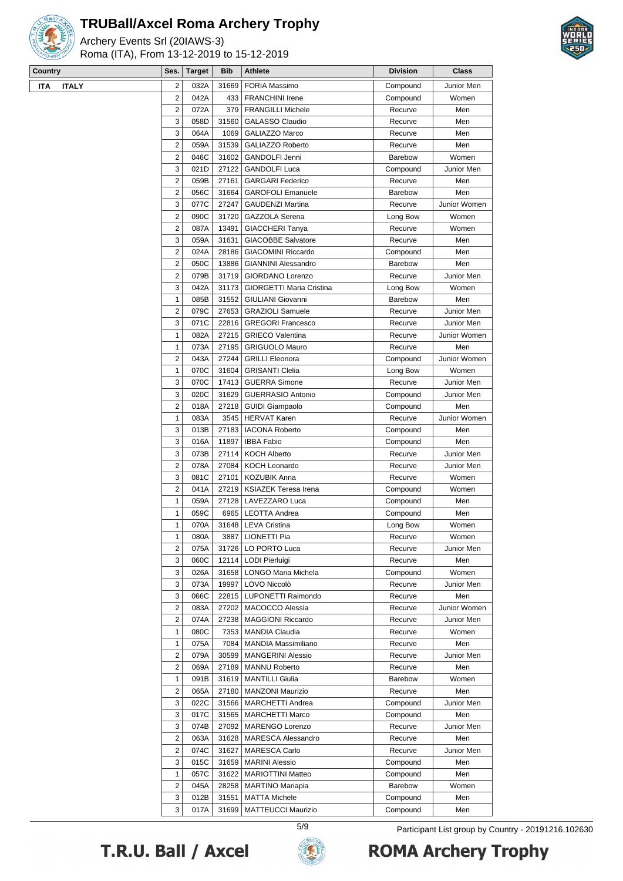

Archery Events Srl (20IAWS-3) Roma (ITA), From 13-12-2019 to 15-12-2019



| $\cdots$                   |                     |               |            |                                                     |                 |              |
|----------------------------|---------------------|---------------|------------|-----------------------------------------------------|-----------------|--------------|
| Country                    | Ses.                | <b>Target</b> | <b>Bib</b> | Athlete                                             | <b>Division</b> | <b>Class</b> |
| <b>ITALY</b><br><b>ITA</b> | 2                   | 032A          | 31669      | <b>FORIA Massimo</b>                                | Compound        | Junior Men   |
|                            | $\overline{2}$      | 042A          | 433        | <b>FRANCHINI Irene</b>                              | Compound        | Women        |
|                            | 2                   | 072A          | 379        | <b>FRANGILLI Michele</b>                            | Recurve         | Men          |
|                            | 3                   | 058D          | 31560      | GALASSO Claudio                                     | Recurve         | Men          |
|                            | 3                   | 064A          | 1069       | <b>GALIAZZO Marco</b>                               | Recurve         | Men          |
|                            | $\overline{2}$      | 059A          | 31539      | GALIAZZO Roberto                                    | Recurve         | Men          |
|                            | $\overline{2}$      | 046C          | 31602      | <b>GANDOLFI Jenni</b>                               | <b>Barebow</b>  | Women        |
|                            | 3                   | 021D          | 27122      | <b>GANDOLFI Luca</b>                                | Compound        | Junior Men   |
|                            | 2                   | 059B          | 27161      | <b>GARGARI Federico</b>                             | Recurve         | Men          |
|                            | 2                   | 056C          | 31664      | <b>GAROFOLI Emanuele</b>                            | Barebow         | Men          |
|                            | 3                   | 077C          | 27247      | <b>GAUDENZI Martina</b>                             | Recurve         | Junior Women |
|                            | 2                   | 090C          | 31720      | GAZZOLA Serena                                      | Long Bow        | Women        |
|                            | 2                   | 087A          | 13491      | <b>GIACCHERI Tanya</b>                              | Recurve         | Women        |
|                            | 3<br>$\overline{2}$ | 059A          | 31631      | <b>GIACOBBE Salvatore</b>                           | Recurve         | Men          |
|                            |                     | 024A          | 28186      | <b>GIACOMINI Riccardo</b>                           | Compound        | Men          |
|                            | $\overline{c}$      | 050C          | 13886      | <b>GIANNINI Alessandro</b>                          | <b>Barebow</b>  | Men          |
|                            | 2                   | 079B          | 31719      | GIORDANO Lorenzo                                    | Recurve         | Junior Men   |
|                            | 3                   | 042A          | 31173      | <b>GIORGETTI Maria Cristina</b>                     | Long Bow        | Women        |
|                            | 1                   | 085B          | 31552      | <b>GIULIANI Giovanni</b><br><b>GRAZIOLI Samuele</b> | Barebow         | Men          |
|                            | 2                   | 079C          | 27653      |                                                     | Recurve         | Junior Men   |
|                            | 3                   | 071C          | 22816      | <b>GREGORI Francesco</b>                            | Recurve         | Junior Men   |
|                            | $\mathbf{1}$        | 082A          | 27215      | <b>GRIECO Valentina</b>                             | Recurve         | Junior Women |
|                            | $\mathbf{1}$        | 073A          | 27195      | <b>GRIGUOLO Mauro</b>                               | Recurve         | Men          |
|                            | $\overline{c}$      | 043A          | 27244      | <b>GRILLI Eleonora</b>                              | Compound        | Junior Women |
|                            | 1                   | 070C          | 31604      | <b>GRISANTI Clelia</b>                              | Long Bow        | Women        |
|                            | 3                   | 070C          | 17413      | <b>GUERRA Simone</b>                                | Recurve         | Junior Men   |
|                            | 3                   | 020C          | 31629      | <b>GUERRASIO Antonio</b>                            | Compound        | Junior Men   |
|                            | 2                   | 018A          | 27218      | <b>GUIDI Giampaolo</b>                              | Compound        | Men          |
|                            | 1                   | 083A          | 3545       | <b>HERVAT Karen</b>                                 | Recurve         | Junior Women |
|                            | 3                   | 013B          | 27183      | <b>IACONA Roberto</b>                               | Compound        | Men          |
|                            | 3                   | 016A          | 11897      | <b>IBBA Fabio</b>                                   | Compound        | Men          |
|                            | 3                   | 073B          | 27114      | <b>KOCH Alberto</b>                                 | Recurve         | Junior Men   |
|                            | $\overline{2}$      | 078A          | 27084      | <b>KOCH Leonardo</b>                                | Recurve         | Junior Men   |
|                            | 3                   | 081C          | 27101      | <b>KOZUBIK Anna</b>                                 | Recurve         | Women        |
|                            | 2                   | 041A          | 27219      | <b>KSIAZEK Teresa Irena</b>                         | Compound        | Women        |
|                            | $\mathbf{1}$        | 059A          | 27128      | LAVEZZARO Luca                                      | Compound        | Men          |
|                            | $\mathbf{1}$        | 059C          | 6965       | <b>LEOTTA Andrea</b>                                | Compound        | Men          |
|                            | $\mathbf{1}$        | 070A          |            | 31648   LEVA Cristina                               | Long Bow        | Women        |
|                            | 1                   | 080A          | 3887       | LIONETTI Pia                                        | Recurve         | Women        |
|                            | 2                   | 075A          | 31726      | LO PORTO Luca                                       | Recurve         | Junior Men   |
|                            | 3                   | 060C          | 12114      | LODI Pierluigi                                      | Recurve         | Men          |
|                            | 3                   | 026A          | 31658      | LONGO Maria Michela                                 | Compound        | Women        |
|                            | 3                   | 073A          | 19997      | LOVO Niccolò                                        | Recurve         | Junior Men   |
|                            | 3                   | 066C          | 22815      | LUPONETTI Raimondo                                  | Recurve         | Men          |
|                            | 2                   | 083A          | 27202      | MACOCCO Alessia                                     | Recurve         | Junior Women |
|                            | 2                   | 074A          | 27238      | <b>MAGGIONI Riccardo</b>                            | Recurve         | Junior Men   |
|                            | 1                   | 080C          | 7353       | <b>MANDIA Claudia</b>                               | Recurve         | Women        |
|                            | 1                   | 075A          | 7084       | <b>MANDIA Massimiliano</b>                          | Recurve         | Men          |
|                            | 2                   | 079A          | 30599      | <b>MANGERINI Alessio</b>                            | Recurve         | Junior Men   |
|                            | 2                   | 069A          | 27189      | <b>MANNU Roberto</b>                                | Recurve         | Men          |
|                            | 1                   | 091B          | 31619      | <b>MANTILLI Giulia</b>                              | Barebow         | Women        |
|                            | 2                   | 065A          | 27180      | <b>MANZONI Maurizio</b>                             | Recurve         | Men          |
|                            | 3                   | 022C          | 31566      | <b>MARCHETTI Andrea</b>                             | Compound        | Junior Men   |
|                            | 3                   | 017C          | 31565      | <b>MARCHETTI Marco</b>                              | Compound        | Men          |
|                            | 3                   | 074B          | 27092      | MARENGO Lorenzo                                     | Recurve         | Junior Men   |
|                            | 2                   | 063A          | 31628      | <b>MARESCA Alessandro</b>                           | Recurve         | Men          |
|                            | 2                   | 074C          | 31627      | <b>MARESCA Carlo</b>                                | Recurve         | Junior Men   |
|                            | 3                   | 015C          | 31659      | <b>MARINI Alessio</b>                               | Compound        | Men          |
|                            | $\mathbf{1}$        | 057C          | 31622      | <b>MARIOTTINI Matteo</b>                            | Compound        | Men          |
|                            | 2                   | 045A          | 28258      | <b>MARTINO Mariapia</b>                             | Barebow         | Women        |
|                            | 3                   | 012B          | 31551      | <b>MATTA Michele</b>                                | Compound        | Men          |
|                            | 3                   | 017A          | 31699      | <b>MATTEUCCI Maurizio</b>                           | Compound        | Men          |

T.R.U. Ball / Axcel



5/9 Participant List group by Country - 20191216.102630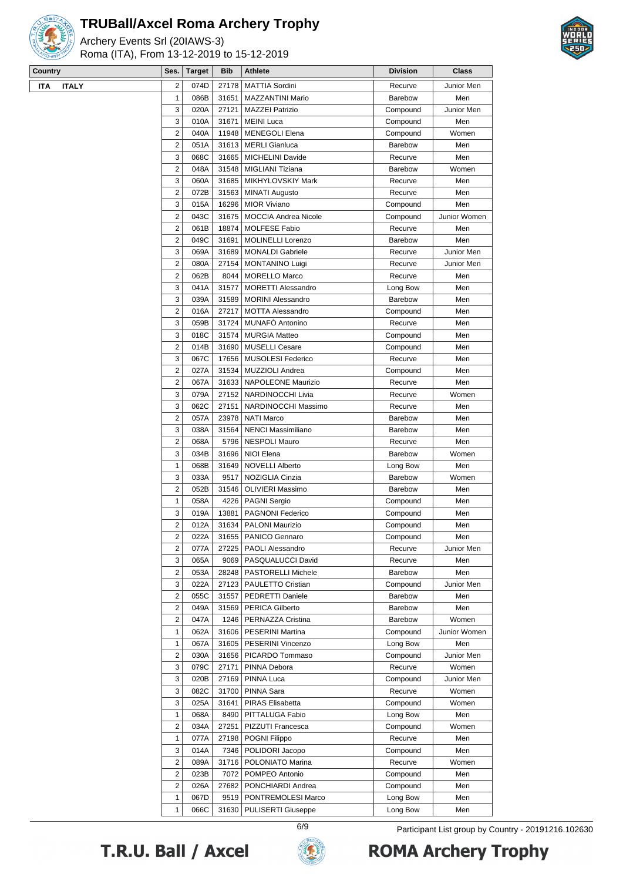

Archery Events Srl (20IAWS-3) Roma (ITA), From 13-12-2019 to 15-12-2019



| Country                    | Ses.                    | <b>Target</b> | <b>Bib</b> | Athlete                     | <b>Division</b> | Class        |
|----------------------------|-------------------------|---------------|------------|-----------------------------|-----------------|--------------|
| <b>ITALY</b><br><b>ITA</b> | 2                       | 074D          | 27178      | <b>MATTIA Sordini</b>       | Recurve         | Junior Men   |
|                            | $\mathbf{1}$            | 086B          | 31651      | <b>MAZZANTINI Mario</b>     | <b>Barebow</b>  | Men          |
|                            | 3                       | 020A          | 27121      | <b>MAZZEI Patrizio</b>      | Compound        | Junior Men   |
|                            | 3                       | 010A          | 31671      | <b>MEINI Luca</b>           | Compound        | Men          |
|                            | $\overline{2}$          | 040A          | 11948      | <b>MENEGOLI Elena</b>       | Compound        | Women        |
|                            | $\overline{2}$          | 051A          | 31613      | <b>MERLI Gianluca</b>       | <b>Barebow</b>  | Men          |
|                            | 3                       | 068C          | 31665      | <b>MICHELINI Davide</b>     | Recurve         | Men          |
|                            | 2                       | 048A          | 31548      | MIGLIANI Tiziana            | <b>Barebow</b>  | Women        |
|                            | 3                       | 060A          | 31685      | MIKHYLOVSKIY Mark           | Recurve         | Men          |
|                            | 2                       | 072B          | 31563      | <b>MINATI Augusto</b>       | Recurve         | Men          |
|                            | 3                       | 015A          | 16296      | <b>MIOR Viviano</b>         | Compound        | Men          |
|                            | $\overline{2}$          | 043C          | 31675      | <b>MOCCIA Andrea Nicole</b> | Compound        | Junior Women |
|                            | $\overline{2}$          | 061B          | 18874      | <b>MOLFESE Fabio</b>        | Recurve         | Men          |
|                            | $\overline{2}$          | 049C          | 31691      | <b>MOLINELLI Lorenzo</b>    | Barebow         | Men          |
|                            | 3                       | 069A          | 31689      | <b>MONALDI Gabriele</b>     | Recurve         | Junior Men   |
|                            | 2                       | 080A          | 27154      | <b>MONTANINO Luigi</b>      | Recurve         | Junior Men   |
|                            | 2                       | 062B          | 8044       | <b>MORELLO Marco</b>        | Recurve         | Men          |
|                            | 3                       | 041A          | 31577      | <b>MORETTI Alessandro</b>   | Long Bow        | Men          |
|                            | 3                       | 039A          | 31589      | <b>MORINI Alessandro</b>    | Barebow         | Men          |
|                            | $\overline{2}$          | 016A          | 27217      | <b>MOTTA Alessandro</b>     | Compound        | Men          |
|                            | 3                       | 059B          | 31724      | MUNAFO Antonino             | Recurve         | Men          |
|                            | 3                       | 018C          | 31574      | <b>MURGIA Matteo</b>        | Compound        | Men          |
|                            | $\overline{c}$          | 014B          | 31690      | <b>MUSELLI Cesare</b>       | Compound        | Men          |
|                            | 3                       | 067C          | 17656      | <b>MUSOLESI Federico</b>    | Recurve         | Men          |
|                            | 2                       | 027A          | 31534      | MUZZIOLI Andrea             | Compound        | Men          |
|                            | 2                       | 067A          | 31633      | NAPOLEONE Maurizio          | Recurve         | Men          |
|                            | 3                       | 079A          | 27152      | NARDINOCCHI Livia           | Recurve         | Women        |
|                            | 3                       | 062C          | 27151      | NARDINOCCHI Massimo         | Recurve         | Men          |
|                            | $\overline{c}$          | 057A          | 23978      | <b>NATI Marco</b>           | Barebow         | Men          |
|                            | 3                       | 038A          | 31564      | <b>NENCI Massimiliano</b>   | Barebow         | Men          |
|                            | $\overline{c}$          | 068A          | 5796       | <b>NESPOLI Mauro</b>        | Recurve         | Men          |
|                            | 3                       | 034B          | 31696      | NIOI Elena                  | Barebow         | Women        |
|                            | 1                       | 068B          | 31649      | <b>NOVELLI Alberto</b>      | Long Bow        | Men          |
|                            | 3                       | 033A          | 9517       | NOZIGLIA Cinzia             | <b>Barebow</b>  | Women        |
|                            | 2                       | 052B          | 31546      | <b>OLIVIERI Massimo</b>     | Barebow         | Men          |
|                            | $\mathbf{1}$            | 058A          | 4226       | <b>PAGNI Sergio</b>         | Compound        | Men          |
|                            | 3                       | 019A          | 13881      | PAGNONI Federico            | Compound        | Men          |
|                            | $\overline{\mathbf{c}}$ | 012A          | 31634      | <b>PALONI Maurizio</b>      | Compound        | Men          |
|                            | 2                       | 022A          | 31655      | PANICO Gennaro              | Compound        | Men          |
|                            | 2                       | 077A          | 27225      | PAOLI Alessandro            | Recurve         | Junior Men   |
|                            | 3                       | 065A          | 9069       | PASQUALUCCI David           | Recurve         | Men          |
|                            | $\overline{2}$          | 053A          | 28248      | PASTORELLI Michele          | Barebow         | Men          |
|                            | 3                       | 022A          | 27123      | PAULETTO Cristian           | Compound        | Junior Men   |
|                            | 2                       | 055C          | 31557      | PEDRETTI Daniele            | Barebow         | Men          |
|                            | 2                       | 049A          | 31569      | <b>PERICA Gilberto</b>      | Barebow         | Men          |
|                            | 2                       | 047A          | 1246       | PERNAZZA Cristina           | Barebow         | Women        |
|                            | $\mathbf{1}$            | 062A          | 31606      | PESERINI Martina            | Compound        | Junior Women |
|                            | 1                       | 067A          | 31605      | PESERINI Vincenzo           | Long Bow        | Men          |
|                            | 2                       | 030A          | 31656      | PICARDO Tommaso             | Compound        | Junior Men   |
|                            | 3                       | 079C          | 27171      | PINNA Debora                | Recurve         | Women        |
|                            | 3                       | 020B          | 27169      | PINNA Luca                  | Compound        | Junior Men   |
|                            | 3                       | 082C          | 31700      | PINNA Sara                  | Recurve         | Women        |
|                            | 3                       | 025A          | 31641      | PIRAS Elisabetta            | Compound        | Women        |
|                            | 1                       | 068A          | 8490       | PITTALUGA Fabio             | Long Bow        | Men          |
|                            | 2                       | 034A          | 27251      | PIZZUTI Francesca           | Compound        | Women        |
|                            | 1                       | 077A          | 27198      | POGNI Filippo               | Recurve         | Men          |
|                            | 3                       | 014A          | 7346       | POLIDORI Jacopo             | Compound        | Men          |
|                            | 2                       | 089A          | 31716      | POLONIATO Marina            | Recurve         | Women        |
|                            | 2                       | 023B          | 7072       | POMPEO Antonio              | Compound        | Men          |
|                            | 2                       | 026A          | 27682      | PONCHIARDI Andrea           | Compound        | Men          |
|                            | 1                       | 067D          | 9519       | PONTREMOLESI Marco          | Long Bow        | Men          |
|                            | 1                       | 066C          | 31630      | <b>PULISERTI Giuseppe</b>   | Long Bow        | Men          |
|                            |                         |               |            |                             |                 |              |

T.R.U. Ball / Axcel



6/9 Participant List group by Country - 20191216.102630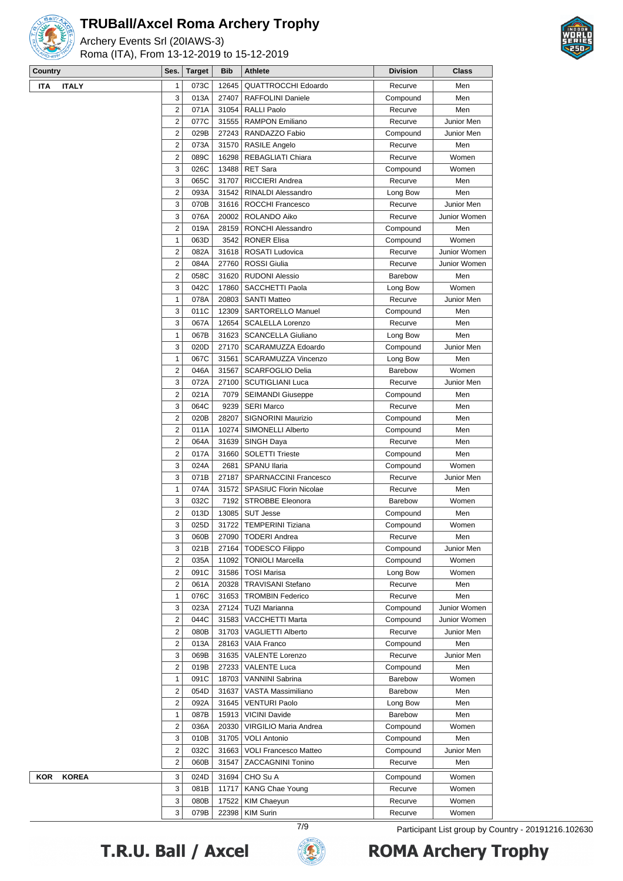

Archery Events Srl (20IAWS-3) Roma (ITA), From 13-12-2019 to 15-12-2019



| Country                    | Ses.                    | <b>Target</b> | <b>Bib</b> | Athlete                       | <b>Division</b> | Class        |
|----------------------------|-------------------------|---------------|------------|-------------------------------|-----------------|--------------|
| <b>ITALY</b><br><b>ITA</b> | $\mathbf{1}$            | 073C          | 12645      | <b>QUATTROCCHI Edoardo</b>    | Recurve         | Men          |
|                            | 3                       | 013A          | 27407      | <b>RAFFOLINI Daniele</b>      | Compound        | Men          |
|                            | $\overline{2}$          | 071A          | 31054      | <b>RALLI Paolo</b>            | Recurve         | Men          |
|                            | $\overline{2}$          | 077C          | 31555      | <b>RAMPON Emiliano</b>        | Recurve         | Junior Men   |
|                            | $\overline{2}$          | 029B          | 27243      | RANDAZZO Fabio                | Compound        | Junior Men   |
|                            | $\overline{2}$          | 073A          | 31570      | <b>RASILE Angelo</b>          | Recurve         | Men          |
|                            | $\overline{2}$          | 089C          | 16298      | REBAGLIATI Chiara             | Recurve         | Women        |
|                            | 3                       | 026C          | 13488      | <b>RET Sara</b>               | Compound        | Women        |
|                            | 3                       | 065C          | 31707      | RICCIERI Andrea               | Recurve         | Men          |
|                            | $\overline{2}$          | 093A          | 31542      | RINALDI Alessandro            | Long Bow        | Men          |
|                            | 3                       | 070B          | 31616      | ROCCHI Francesco              | Recurve         | Junior Men   |
|                            | 3                       | 076A          | 20002      | ROLANDO Aiko                  | Recurve         | Junior Women |
|                            | $\overline{2}$          | 019A          | 28159      | RONCHI Alessandro             | Compound        | Men          |
|                            | $\mathbf{1}$            | 063D          | 3542       | <b>RONER Elisa</b>            | Compound        | Women        |
|                            | $\overline{2}$          | 082A          | 31618      | ROSATI Ludovica               | Recurve         | Junior Women |
|                            | $\overline{2}$          | 084A          | 27760      | <b>ROSSI</b> Giulia           | Recurve         | Junior Women |
|                            | $\overline{2}$          | 058C          | 31620      | <b>RUDONI Alessio</b>         | <b>Barebow</b>  | Men          |
|                            | 3                       | 042C          | 17860      | SACCHETTI Paola               | Long Bow        | Women        |
|                            | $\mathbf{1}$            | 078A          | 20803      | <b>SANTI Matteo</b>           | Recurve         | Junior Men   |
|                            | 3                       | 011C          | 12309      | <b>SARTORELLO Manuel</b>      | Compound        | Men          |
|                            | 3                       | 067A          | 12654      | <b>SCALELLA Lorenzo</b>       | Recurve         | Men          |
|                            | $\mathbf{1}$            | 067B          | 31623      | <b>SCANCELLA Giuliano</b>     | Long Bow        | Men          |
|                            | 3                       | 020D          | 27170      | SCARAMUZZA Edoardo            | Compound        | Junior Men   |
|                            | $\mathbf{1}$            | 067C          | 31561      | SCARAMUZZA Vincenzo           | Long Bow        | Men          |
|                            | $\overline{2}$          | 046A          | 31567      | <b>SCARFOGLIO Delia</b>       | Barebow         | Women        |
|                            | 3                       | 072A          | 27100      | <b>SCUTIGLIANI Luca</b>       | Recurve         | Junior Men   |
|                            | $\overline{2}$          | 021A          | 7079       | <b>SEIMANDI Giuseppe</b>      | Compound        | Men          |
|                            | 3                       | 064C          | 9239       | <b>SERI Marco</b>             | Recurve         | Men          |
|                            | $\overline{2}$          | 020B          | 28207      | SIGNORINI Maurizio            | Compound        | Men          |
|                            | $\overline{2}$          | 011A          | 10274      | SIMONELLI Alberto             | Compound        | Men          |
|                            | $\overline{2}$          | 064A          | 31639      | SINGH Daya                    | Recurve         | Men          |
|                            | $\overline{2}$          | 017A          | 31660      | <b>SOLETTI Trieste</b>        | Compound        | Men          |
|                            | 3                       | 024A          | 2681       | <b>SPANU Ilaria</b>           | Compound        | Women        |
|                            | 3                       | 071B          | 27187      | <b>SPARNACCINI Francesco</b>  | Recurve         | Junior Men   |
|                            | $\mathbf{1}$            | 074A          | 31572      | <b>SPASIUC Florin Nicolae</b> | Recurve         | Men          |
|                            | 3                       | 032C          | 7192       | <b>STROBBE Eleonora</b>       | Barebow         | Women        |
|                            | $\overline{2}$          | 013D          | 13085      | <b>SUT Jesse</b>              | Compound        | Men          |
|                            | 3                       | 025D          |            | 31722   TEMPERINI Tiziana     | Compound        | Women        |
|                            | 3                       | 060B          | 27090      | <b>TODERI Andrea</b>          | Recurve         | Men          |
|                            | 3                       | 021B          | 27164      | <b>TODESCO Filippo</b>        | Compound        | Junior Men   |
|                            | $\overline{\mathbf{c}}$ | 035A          | 11092      | <b>TONIOLI Marcella</b>       | Compound        | Women        |
|                            | $\overline{2}$          | 091C          | 31586      | <b>TOSI Marisa</b>            | Long Bow        | Women        |
|                            | $\overline{2}$          | 061A          | 20328      | <b>TRAVISANI Stefano</b>      | Recurve         | Men          |
|                            | $\mathbf{1}$            | 076C          | 31653      | <b>TROMBIN Federico</b>       | Recurve         | Men          |
|                            | 3                       | 023A          | 27124      | <b>TUZI Marianna</b>          | Compound        | Junior Women |
|                            | $\overline{2}$          | 044C          | 31583      | VACCHETTI Marta               | Compound        | Junior Women |
|                            | $\overline{\mathbf{c}}$ | 080B          | 31703      | <b>VAGLIETTI Alberto</b>      | Recurve         | Junior Men   |
|                            | $\overline{\mathbf{c}}$ | 013A          | 28163      | <b>VAIA Franco</b>            | Compound        | Men          |
|                            | 3                       | 069B          | 31635      | <b>VALENTE Lorenzo</b>        | Recurve         | Junior Men   |
|                            | $\overline{2}$          | 019B          | 27233      | <b>VALENTE Luca</b>           | Compound        | Men          |
|                            | $\mathbf{1}$            | 091C          | 18703      | VANNINI Sabrina               | Barebow         | Women        |
|                            | $\overline{2}$          | 054D          | 31637      | VASTA Massimiliano            | Barebow         | Men          |
|                            | $\overline{2}$          | 092A          | 31645      | <b>VENTURI Paolo</b>          | Long Bow        | Men          |
|                            | $\mathbf{1}$            | 087B          | 15913      | <b>VICINI Davide</b>          | Barebow         | Men          |
|                            | 2                       | 036A          | 20330      | VIRGILIO Maria Andrea         | Compound        | Women        |
|                            | 3                       | 010B          | 31705      | <b>VOLI Antonio</b>           | Compound        | Men          |
|                            | $\overline{\mathbf{c}}$ | 032C          | 31663      | <b>VOLI Francesco Matteo</b>  | Compound        | Junior Men   |
|                            | $\overline{\mathbf{c}}$ | 060B          | 31547      | <b>ZACCAGNINI Tonino</b>      | Recurve         | Men          |
| <b>KOREA</b><br>KOR        | 3                       | 024D          | 31694      | CHO Su A                      | Compound        | Women        |
|                            | 3                       | 081B          | 11717      | KANG Chae Young               | Recurve         | Women        |
|                            | 3                       | 080B          | 17522      | KIM Chaeyun                   | Recurve         | Women        |
|                            | 3                       | 079B          | 22398      | <b>KIM Surin</b>              | Recurve         | Women        |
|                            |                         |               |            |                               |                 |              |

T.R.U. Ball / Axcel



7/9 Participant List group by Country - 20191216.102630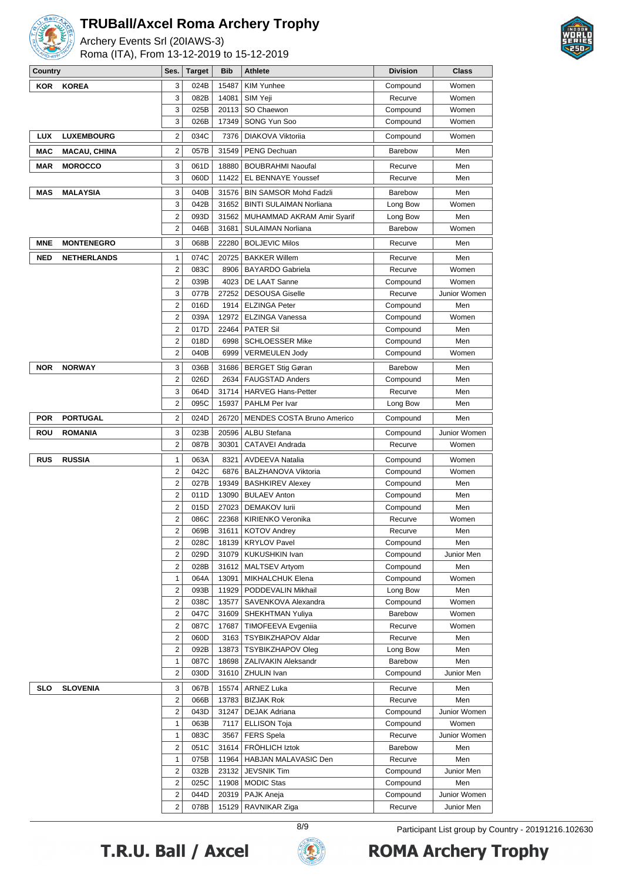

Archery Events Srl (20IAWS-3) Roma (ITA), From 13-12-2019 to 15-12-2019



| Country    |                     | Ses.                | <b>Target</b> | <b>Bib</b>    | <b>Athlete</b>                                    | <b>Division</b>      | Class                 |
|------------|---------------------|---------------------|---------------|---------------|---------------------------------------------------|----------------------|-----------------------|
| <b>KOR</b> | <b>KOREA</b>        | 3                   | 024B          | 15487         | <b>KIM Yunhee</b>                                 | Compound             | Women                 |
|            |                     | 3                   | 082B          | 14081         | SIM Yeji                                          | Recurve              | Women                 |
|            |                     | 3                   | 025B          | 20113         | SO Chaewon                                        | Compound             | Women                 |
|            |                     | 3                   | 026B          | 17349         | SONG Yun Soo                                      | Compound             | Women                 |
| <b>LUX</b> | <b>LUXEMBOURG</b>   | 2                   | 034C          | 7376          | DIAKOVA Viktoriia                                 | Compound             | Women                 |
| MAC        | <b>MACAU, CHINA</b> | 2                   | 057B          | 31549         | <b>PENG Dechuan</b>                               | <b>Barebow</b>       | Men                   |
| MAR        | <b>MOROCCO</b>      | 3                   | 061D          | 18880         | <b>BOUBRAHMI Naoufal</b>                          | Recurve              | Men                   |
|            |                     | 3                   | 060D          | 11422         | EL BENNAYE Youssef                                | Recurve              | Men                   |
| <b>MAS</b> | <b>MALAYSIA</b>     | 3                   | 040B          | 31576         | <b>BIN SAMSOR Mohd Fadzli</b>                     | Barebow              | Men                   |
|            |                     | 3                   | 042B          | 31652         | <b>BINTI SULAIMAN Norliana</b>                    | Long Bow             | Women                 |
|            |                     | 2                   | 093D          | 31562         | MUHAMMAD AKRAM Amir Syarif                        | Long Bow             | Men                   |
|            |                     | $\overline{2}$      | 046B          | 31681         | SULAIMAN Norliana                                 | <b>Barebow</b>       | Women                 |
| <b>MNE</b> | <b>MONTENEGRO</b>   | 3                   | 068B          | 22280         | <b>BOLJEVIC Milos</b>                             | Recurve              | Men                   |
|            |                     |                     |               |               |                                                   |                      |                       |
| <b>NED</b> | <b>NETHERLANDS</b>  | 1                   | 074C          | 20725         | <b>BAKKER Willem</b>                              | Recurve              | Men                   |
|            |                     | 2                   | 083C          | 8906          | <b>BAYARDO Gabriela</b>                           | Recurve              | Women                 |
|            |                     | 2                   | 039B          | 4023          | DE LAAT Sanne                                     | Compound             | Women<br>Junior Women |
|            |                     | 3                   | 077B          | 27252         | <b>DESOUSA Giselle</b>                            | Recurve              |                       |
|            |                     | 2                   | 016D          | 1914          | <b>ELZINGA Peter</b>                              | Compound             | Men<br>Women          |
|            |                     | 2<br>2              | 039A          | 12972         | <b>ELZINGA Vanessa</b>                            | Compound             |                       |
|            |                     | $\overline{2}$      | 017D<br>018D  | 22464<br>6998 | <b>PATER Sil</b><br><b>SCHLOESSER Mike</b>        | Compound<br>Compound | Men<br>Men            |
|            |                     | $\overline{2}$      | 040B          | 6999          | <b>VERMEULEN Jody</b>                             | Compound             | Women                 |
|            |                     |                     |               |               |                                                   |                      |                       |
| <b>NOR</b> | <b>NORWAY</b>       | 3                   | 036B          | 31686         | <b>BERGET Stig Gøran</b>                          | Barebow              | Men                   |
|            |                     | 2                   | 026D          | 2634          | <b>FAUGSTAD Anders</b>                            | Compound             | Men                   |
|            |                     | 3<br>$\overline{2}$ | 064D          | 31714         | <b>HARVEG Hans-Petter</b>                         | Recurve              | Men                   |
|            |                     |                     | 095C          | 15937         | PAHLM Per Ivar                                    | Long Bow             | Men                   |
| <b>POR</b> | <b>PORTUGAL</b>     | 2                   | 024D          | 26720         | <b>MENDES COSTA Bruno Americo</b>                 | Compound             | Men                   |
| ROU        | <b>ROMANIA</b>      | 3                   | 023B          | 20596         | <b>ALBU Stefana</b>                               | Compound             | Junior Women          |
|            |                     | 2                   | 087B          | 30301         | CATAVEI Andrada                                   | Recurve              | Women                 |
| <b>RUS</b> | <b>RUSSIA</b>       | 1                   | 063A          | 8321          | <b>AVDEEVA Natalia</b>                            | Compound             | Women                 |
|            |                     | 2                   | 042C          | 6876          | <b>BALZHANOVA Viktoria</b>                        | Compound             | Women                 |
|            |                     | 2                   | 027B          | 19349         | <b>BASHKIREV Alexey</b>                           | Compound             | Men                   |
|            |                     | 2                   | 011D          | 13090         | <b>BULAEV Anton</b>                               | Compound             | Men                   |
|            |                     | 2                   | 015D          | 27023         | <b>DEMAKOV lurii</b>                              | Compound             | Men                   |
|            |                     | 2                   | 086C          | 22368         | KIRIENKO Veronika                                 | Recurve              | Women                 |
|            |                     | $\overline{2}$      | 069B          | 31611         | <b>KOTOV Andrev</b>                               | Recurve              | Men                   |
|            |                     | 2                   | 028C          | 18139         | <b>KRYLOV Pavel</b>                               | Compound             | Men                   |
|            |                     | 2<br>2              | 029D<br>028B  | 31079         | KUKUSHKIN Ivan                                    | Compound             | Junior Men<br>Men     |
|            |                     | 1                   | 064A          | 13091         | 31612   MALTSEV Artyom<br><b>MIKHALCHUK Elena</b> | Compound<br>Compound | Women                 |
|            |                     | 2                   | 093B          | 11929         | PODDEVALIN Mikhail                                | Long Bow             | Men                   |
|            |                     | 2                   | 038C          | 13577         | SAVENKOVA Alexandra                               | Compound             | Women                 |
|            |                     | 2                   | 047C          | 31609         | SHEKHTMAN Yuliya                                  | Barebow              | Women                 |
|            |                     | 2                   | 087C          | 17687         | TIMOFEEVA Evgeniia                                | Recurve              | Women                 |
|            |                     | 2                   | 060D          | 3163          | TSYBIKZHAPOV Aldar                                | Recurve              | Men                   |
|            |                     | 2                   | 092B          | 13873         | <b>TSYBIKZHAPOV Oleg</b>                          | Long Bow             | Men                   |
|            |                     | 1                   | 087C          | 18698         | ZALIVAKIN Aleksandr                               | Barebow              | Men                   |
|            |                     | $\overline{2}$      | 030D          |               | 31610   ZHULIN Ivan                               | Compound             | Junior Men            |
| <b>SLO</b> | <b>SLOVENIA</b>     | 3                   | 067B          | 15574         | <b>ARNEZ Luka</b>                                 | Recurve              | Men                   |
|            |                     | 2                   | 066B          | 13783         | <b>BIZJAK Rok</b>                                 | Recurve              | Men                   |
|            |                     | 2                   | 043D          | 31247         | DEJAK Adriana                                     | Compound             | Junior Women          |
|            |                     | 1                   | 063B          | 7117          | <b>ELLISON Toja</b>                               | Compound             | Women                 |
|            |                     | 1                   | 083C          | 3567          | <b>FERS</b> Spela                                 | Recurve              | Junior Women          |
|            |                     | 2                   | 051C          | 31614         | <b>FROHLICH Iztok</b>                             | Barebow              | Men                   |
|            |                     | 1                   | 075B          | 11964         | HABJAN MALAVASIC Den                              | Recurve              | Men                   |
|            |                     | 2                   | 032B          | 23132         | <b>JEVSNIK Tim</b>                                | Compound             | Junior Men            |
|            |                     | 2                   | 025C          | 11908         | <b>MODIC Stas</b>                                 | Compound             | Men                   |
|            |                     | 2                   | 044D          | 20319         | PAJK Aneja                                        | Compound             | Junior Women          |
|            |                     | 2                   | 078B          | 15129         | RAVNIKAR Ziga                                     | Recurve              | Junior Men            |

T.R.U. Ball / Axcel



8/9 **Participant List group by Country - 20191216.102630**